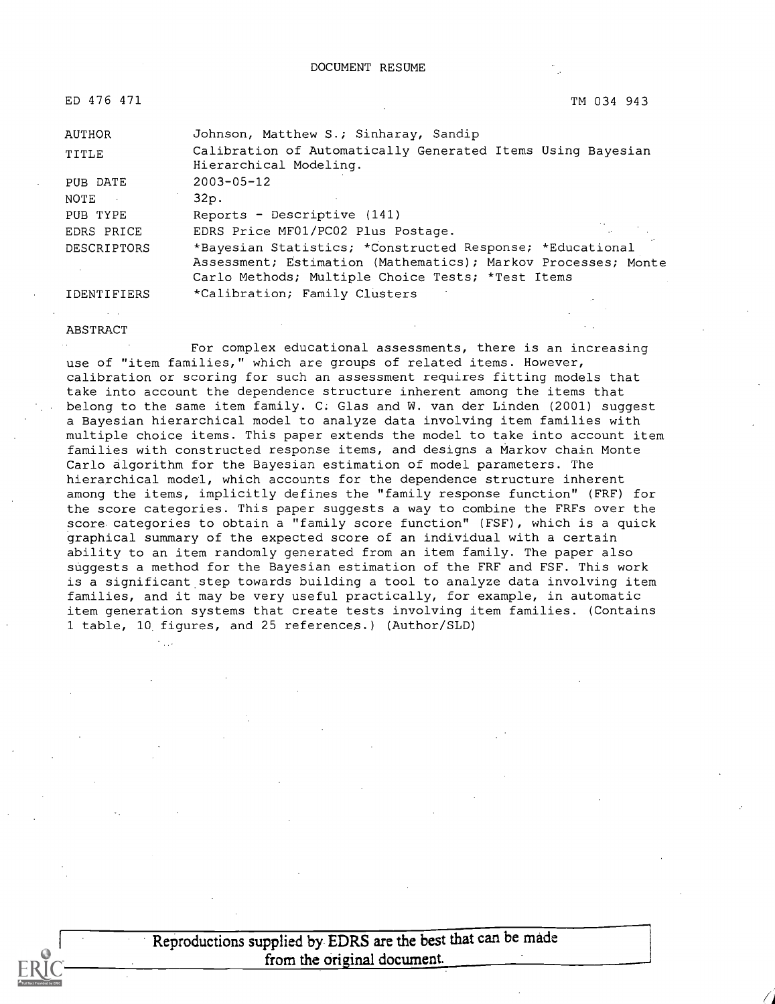| ED 476 471    | TM 034 943                                                                            |
|---------------|---------------------------------------------------------------------------------------|
| <b>AUTHOR</b> | Johnson, Matthew S.; Sinharay, Sandip                                                 |
| TITLE         | Calibration of Automatically Generated Items Using Bayesian<br>Hierarchical Modeling. |
| PUB DATE      | $2003 - 05 - 12$                                                                      |
| NOTE          | 32p.                                                                                  |
| PUB TYPE      | Reports - Descriptive (141)                                                           |
| EDRS PRICE    | EDRS Price MF01/PC02 Plus Postage.                                                    |
| DESCRIPTORS   | *Bayesian Statistics; *Constructed Response; *Educational                             |
|               | Assessment; Estimation (Mathematics); Markov Processes; Monte                         |
|               | Carlo Methods; Multiple Choice Tests; *Test Items                                     |
| IDENTIFIERS   | *Calibration; Family Clusters                                                         |

ABSTRACT

For complex educational assessments, there is an increasing use of "item families," which are groups of related items. However, calibration or scoring for such an assessment requires fitting models that take into account the dependence structure inherent among the items that belong to the same item family. C. Glas and W. van der Linden (2001) suggest a Bayesian hierarchical model to analyze data involving item families with multiple choice items. This paper extends the model to take into account item families with constructed response items, and designs a Markov chain Monte Carlo algorithm for the Bayesian estimation of model parameters. The hierarchical model, which accounts for the dependence structure inherent among the items, implicitly defines the "family response function" (FRF) for the score categories. This paper suggests a way to combine the FRFs over the score categories to obtain a "family score function" (FSF), which is a quick graphical summary of the expected score of an individual with a certain ability to an item randomly generated from an item family. The paper also suggests a method for the Bayesian estimation of the FRF and FSF. This work is a significant step towards building a tool to analyze data involving item families, and it may be very useful practically, for example, in automatic item generation systems that create tests involving item families. (Contains 1 table, 10, figures, and 25 references.) (Author/SLD)

> Reproductions supplied by EDRS are the best that can be made from the original document.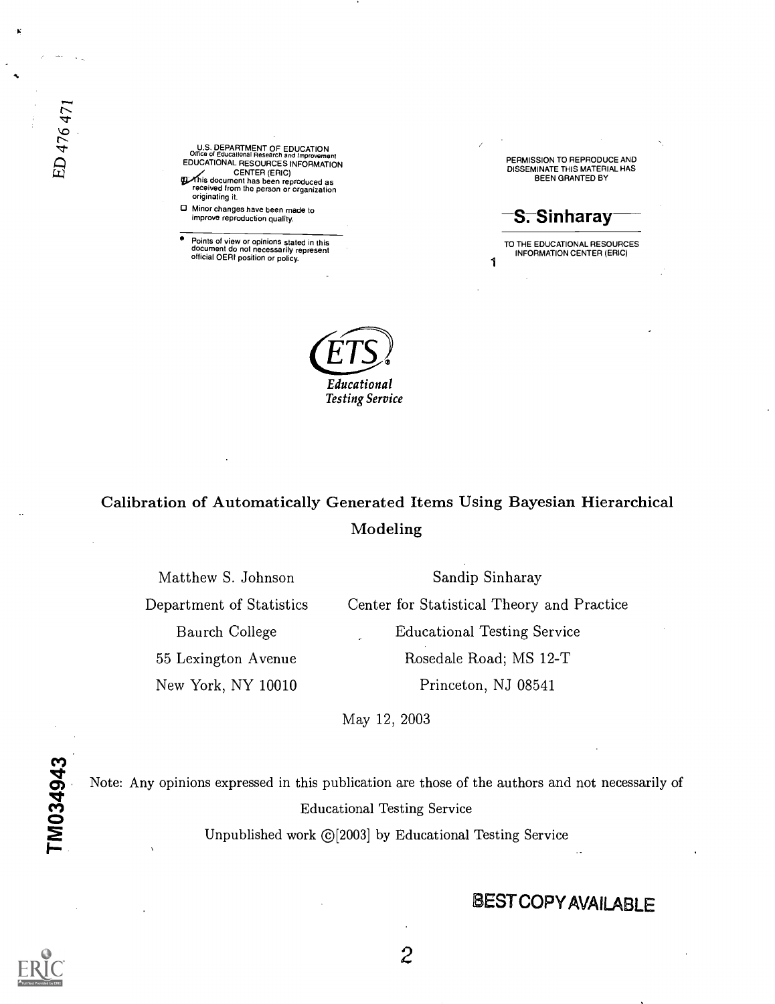U.S. DEPARTMENT OF EDUCATION<br>
Office of Educational Research and Improvement<br>
EDUCATIONAL RESOURCES INFORMATION CENTER (ERIC)<br>
This document has been reproduced as<br>
received from the person or organization

originating it. Minor changes have been made to improve reproduction quality.

Points of view or opinions stated in this document do not necessarily represent official OERI position or policy.

PERMISSION TO REPRODUCE AND DISSEMINATE THIS MATERIAL HAS BEEN GRANTED BY

S. Sinharay

1 TO THE EDUCATIONAL RESOURCES INFORMATION CENTER (ERIC)



# Calibration of Automatically Generated Items Using Bayesian Hierarchical Modeling

Matthew S. Johnson Department of Statistics Baurch College 55 Lexington Avenue New York, NY 10010

Sandip Sinharay Center for Statistical Theory and Practice Educational Testing Service Rosedale Road; MS 12-T Princeton, NJ 08541

May 12, 2003

Note: Any opinions expressed in this publication are those of the authors and not necessarily of Educational Testing Service Unpublished work ©[2003] by Educational Testing Service

# BEST COPY AVAILABLE



 $\mathcal{Z}$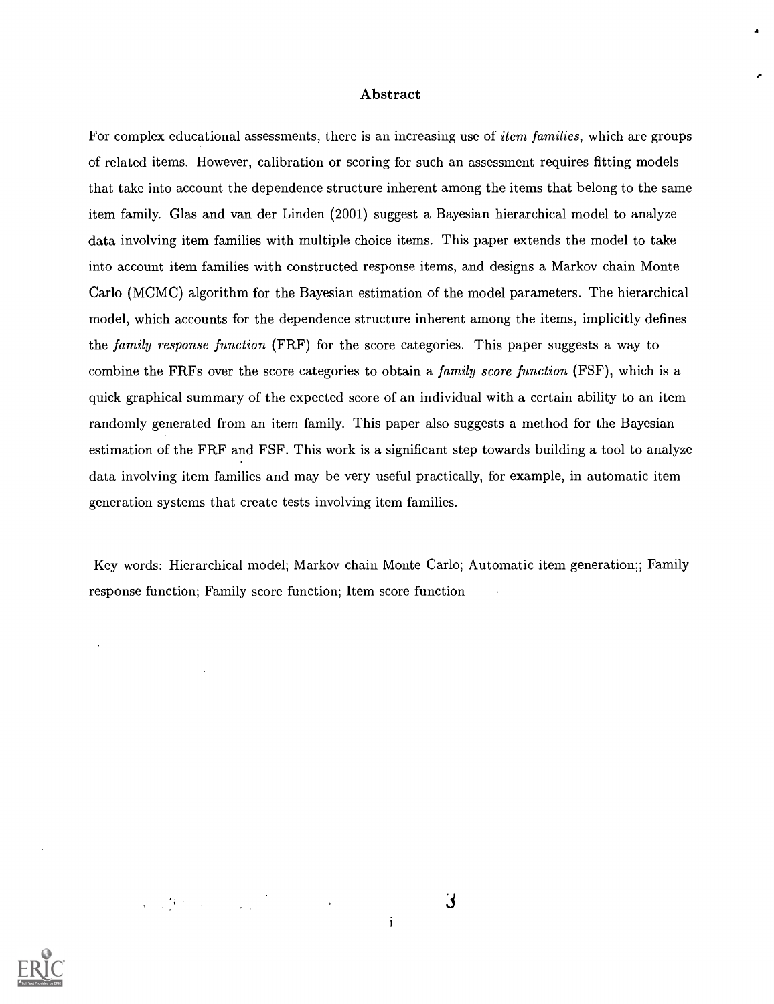#### Abstract

4

For complex educational assessments, there is an increasing use of *item families*, which are groups of related items. However, calibration or scoring for such an assessment requires fitting models that take into account the dependence structure inherent among the items that belong to the same item family. Glas and van der Linden (2001) suggest a Bayesian hierarchical model to analyze data involving item families with multiple choice items. This paper extends the model to take into account item families with constructed response items, and designs a Markov chain Monte Carlo (MCMC) algorithm for the Bayesian estimation of the model parameters. The hierarchical model, which accounts for the dependence structure inherent among the items, implicitly defines the family response function (FRF) for the score categories. This paper suggests a way to combine the FRFs over the score categories to obtain a *family score function* (FSF), which is a quick graphical summary of the expected score of an individual with a certain ability to an item randomly generated from an item family. This paper also suggests a method for the Bayesian estimation of the FRF and FSF. This work is a significant step towards building a tool to analyze data involving item families and may be very useful practically, for example, in automatic item generation systems that create tests involving item families.

Key words: Hierarchical model; Markov chain Monte Carlo; Automatic item generation;; Family response function; Family score function; Item score function



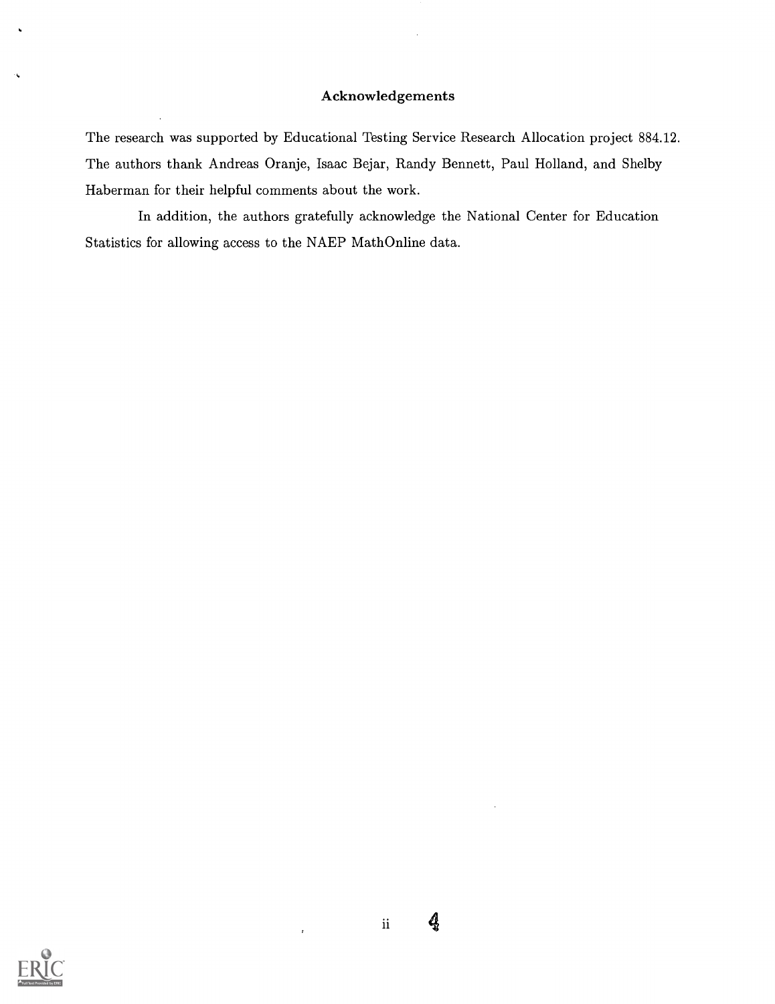### Acknowledgements

The research was supported by Educational Testing Service Research Allocation project 884.12. The authors thank Andreas Oranje, Isaac Bejar, Randy Bennett, Paul Holland, and Shelby Haberman for their helpful comments about the work.

In addition, the authors gratefully acknowledge the National Center for Education Statistics for allowing access to the NAEP MathOnline data.



 $\bar{t}$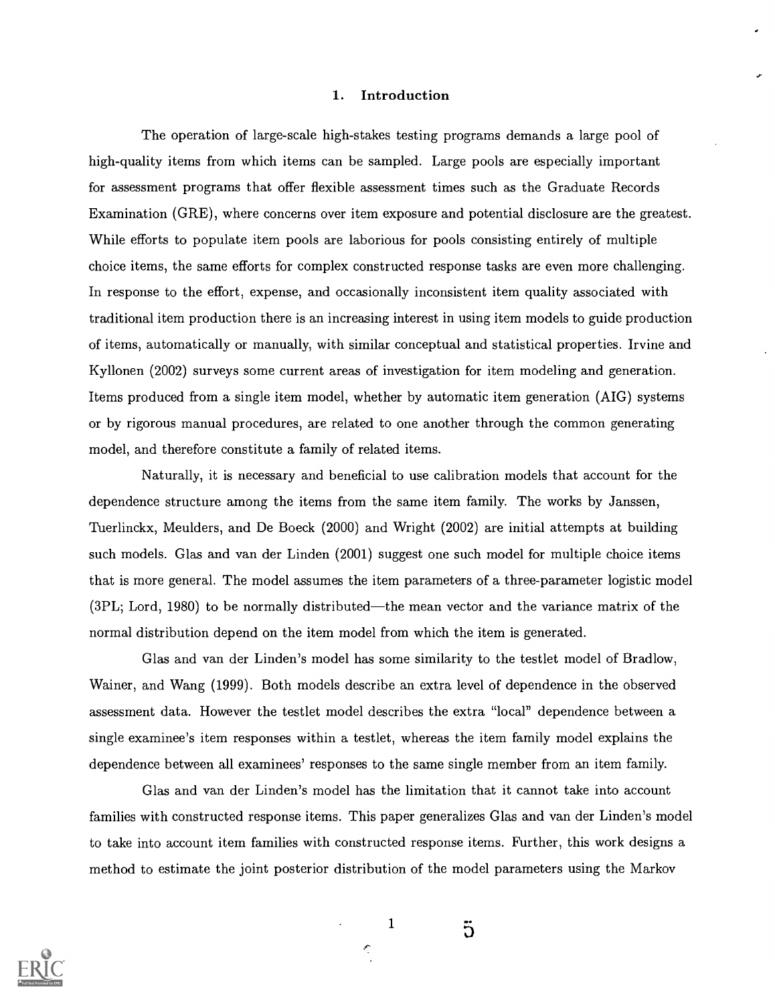#### 1. Introduction

The operation of large-scale high-stakes testing programs demands a large pool of high-quality items from which items can be sampled. Large pools are especially important for assessment programs that offer flexible assessment times such as the Graduate Records Examination (GRE), where concerns over item exposure and potential disclosure are the greatest. While efforts to populate item pools are laborious for pools consisting entirely of multiple choice items, the same efforts for complex constructed response tasks are even more challenging. In response to the effort, expense, and occasionally inconsistent item quality associated with traditional item production there is an increasing interest in using item models to guide production of items, automatically or manually, with similar conceptual and statistical properties. Irvine and Kyllonen (2002) surveys some current areas of investigation for item modeling and generation. Items produced from a single item model, whether by automatic item generation (AIG) systems or by rigorous manual procedures, are related to one another through the common generating model, and therefore constitute a family of related items.

Naturally, it is necessary and beneficial to use calibration models that account for the dependence structure among the items from the same item family. The works by Janssen, Tuerlinckx, Meulders, and De Boeck (2000) and Wright (2002) are initial attempts at building such models. Glas and van der Linden (2001) suggest one such model for multiple choice items that is more general. The model assumes the item parameters of a three-parameter logistic model  $(3PL; Lord, 1980)$  to be normally distributed—the mean vector and the variance matrix of the normal distribution depend on the item model from which the item is generated.

Glas and van der Linden's model has some similarity to the testlet model of Bradlow, Wainer, and Wang (1999). Both models describe an extra level of dependence in the observed assessment data. However the testlet model describes the extra "local" dependence between a single examinee's item responses within a testlet, whereas the item family model explains the dependence between all examinees' responses to the same single member from an item family.

Glas and van der Linden's model has the limitation that it cannot take into account families with constructed response items. This paper generalizes Glas and van der Linden's model to take into account item families with constructed response items. Further, this work designs a method to estimate the joint posterior distribution of the model parameters using the Markov



1

Ç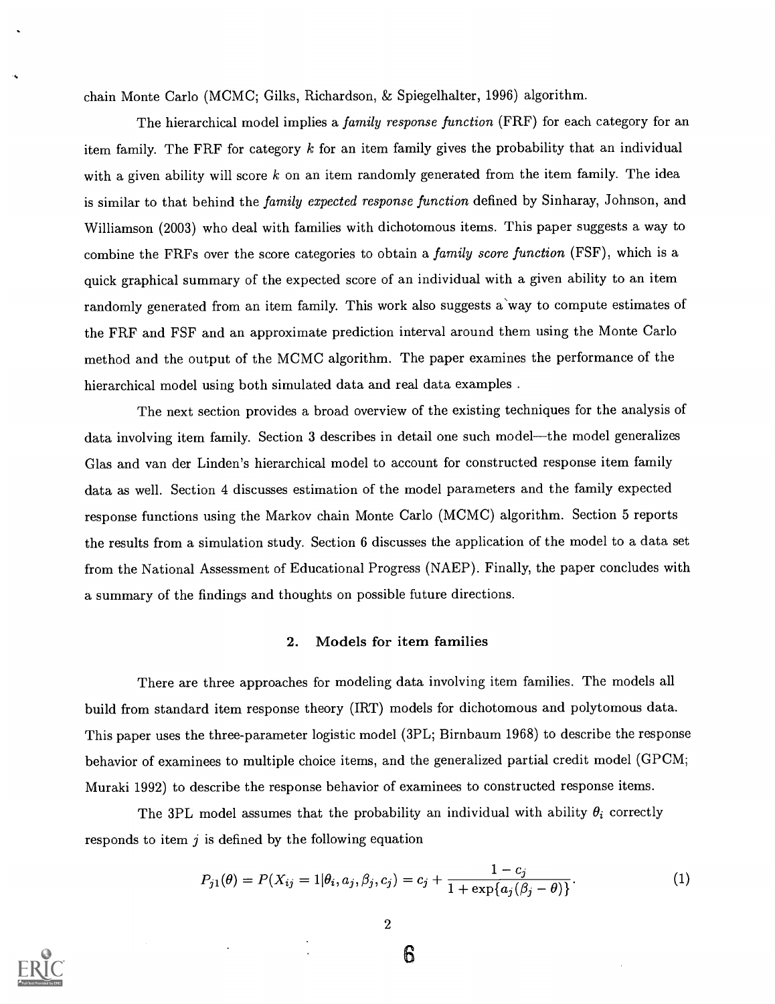chain Monte Carlo (MCMC; Gilks, Richardson, & Spiegelhalter, 1996) algorithm.

The hierarchical model implies a *family response function* (FRF) for each category for an item family. The FRF for category  $k$  for an item family gives the probability that an individual with a given ability will score  $k$  on an item randomly generated from the item family. The idea is similar to that behind the family expected response function defined by Sinharay, Johnson, and Williamson (2003) who deal with families with dichotomous items. This paper suggests a way to combine the FRFs over the score categories to obtain a family score function (FSF), which is a quick graphical summary of the expected score of an individual with a given ability to an item randomly generated from an item family. This work also suggests a way to compute estimates of the FRF and FSF and an approximate prediction interval around them using the Monte Carlo method and the output of the MCMC algorithm. The paper examines the performance of the hierarchical model using both simulated data and real data examples .

The next section provides a broad overview of the existing techniques for the analysis of data involving item family. Section 3 describes in detail one such model—the model generalizes Glas and van der Linden's hierarchical model to account for constructed response item family data as well. Section 4 discusses estimation of the model parameters and the family expected response functions using the Markov chain Monte Carlo (MCMC) algorithm. Section 5 reports the results from a simulation study. Section <sup>6</sup> discusses the application of the model to a data set from the National Assessment of Educational Progress (NAEP). Finally, the paper concludes with a summary of the findings and thoughts on possible future directions.

#### 2. Models for item families

There are three approaches for modeling data involving item families. The models all build from standard item response theory (IRT) models for dichotomous and polytomous data. This paper uses the three-parameter logistic model (3PL; Birnbaum 1968) to describe the response behavior of examinees to multiple choice items, and the generalized partial credit model (GPCM; Muraki 1992) to describe the response behavior of examinees to constructed response items.

The 3PL model assumes that the probability an individual with ability  $\theta_i$  correctly responds to item  $j$  is defined by the following equation

$$
P_{j1}(\theta) = P(X_{ij} = 1 | \theta_i, a_j, \beta_j, c_j) = c_j + \frac{1 - c_j}{1 + \exp\{a_j(\beta_j - \theta)\}}.
$$
\n(1)



2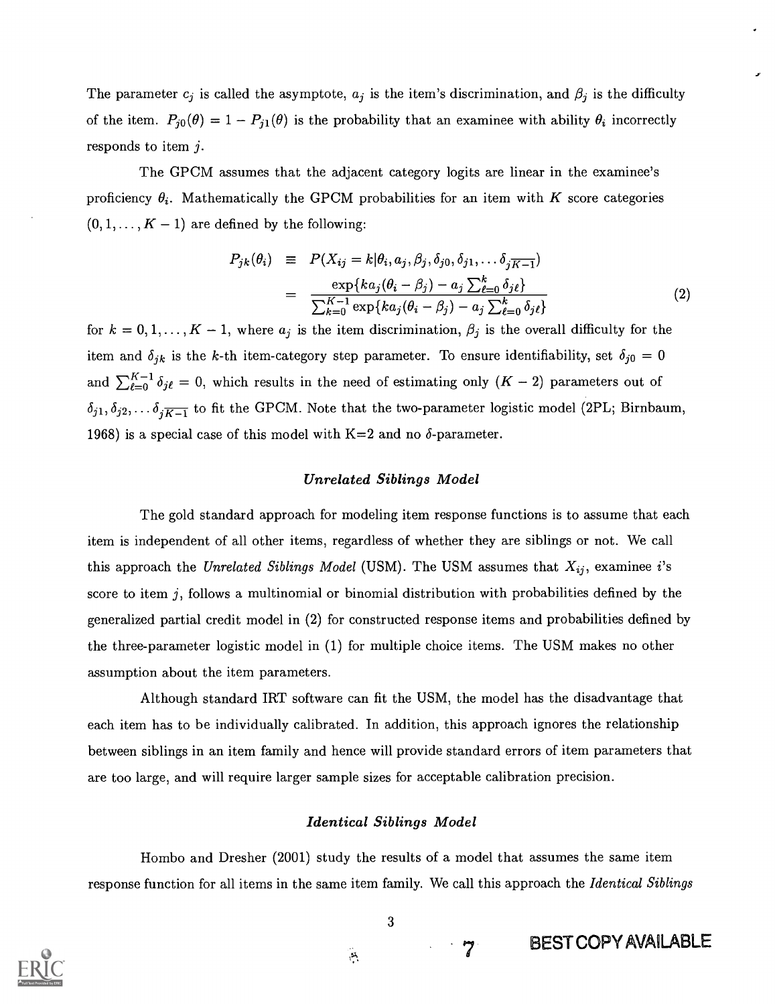The parameter  $c_j$  is called the asymptote,  $a_j$  is the item's discrimination, and  $\beta_j$  is the difficulty of the item.  $P_{j0}(\theta) = 1 - P_{j1}(\theta)$  is the probability that an examinee with ability  $\theta_i$  incorrectly responds to item  $j$ .

The GPCM assumes that the adjacent category logits are linear in the examinee's proficiency  $\theta_i$ . Mathematically the GPCM probabilities for an item with K score categories  $(0,1,\ldots,K-1)$  are defined by the following:

$$
P_{jk}(\theta_i) \equiv P(X_{ij} = k | \theta_i, a_j, \beta_j, \delta_{j0}, \delta_{j1}, \dots \delta_{j\overline{K-1}})
$$
  

$$
= \frac{\exp\{ka_j(\theta_i - \beta_j) - a_j \sum_{\ell=0}^k \delta_{j\ell}\}}{\sum_{k=0}^{K-1} \exp\{ka_j(\theta_i - \beta_j) - a_j \sum_{\ell=0}^k \delta_{j\ell}\}}
$$
(2)

for  $k = 0, 1, ..., K - 1$ , where  $a_j$  is the item discrimination,  $\beta_j$  is the overall difficulty for the item and  $\delta_{jk}$  is the k-th item-category step parameter. To ensure identifiability, set  $\delta_{j0} = 0$ and  $\sum_{\ell=0}^{K-1} \delta_{j\ell} = 0$ , which results in the need of estimating only  $(K-2)$  parameters out of  $\delta_{j1}, \delta_{j2}, \ldots \delta_{j\overline{K-1}}$  to fit the GPCM. Note that the two-parameter logistic model (2PL; Birnbaum, 1968) is a special case of this model with  $K=2$  and no  $\delta$ -parameter.

#### Unrelated Siblings Model

The gold standard approach for modeling item response functions is to assume that each item is independent of all other items, regardless of whether they are siblings or not. We call this approach the Unrelated Siblings Model (USM). The USM assumes that  $X_{ij}$ , examinee i's score to item  $j$ , follows a multinomial or binomial distribution with probabilities defined by the generalized partial credit model in (2) for constructed response items and probabilities defined by the three-parameter logistic model in (1) for multiple choice items. The USM makes no other assumption about the item parameters.

Although standard IRT software can fit the USM, the model has the disadvantage that each item has to be individually calibrated. In addition, this approach ignores the relationship between siblings in an item family and hence will provide standard errors of item parameters that are too large, and will require larger sample sizes for acceptable calibration precision.

#### Identical Siblings Model

Hombo and Dresher (2001) study the results of a model that assumes the same item response function for all items in the same item family. We call this approach the *Identical Siblings* 

3

 $\overline{7}$ 



 $\mathbf{P}$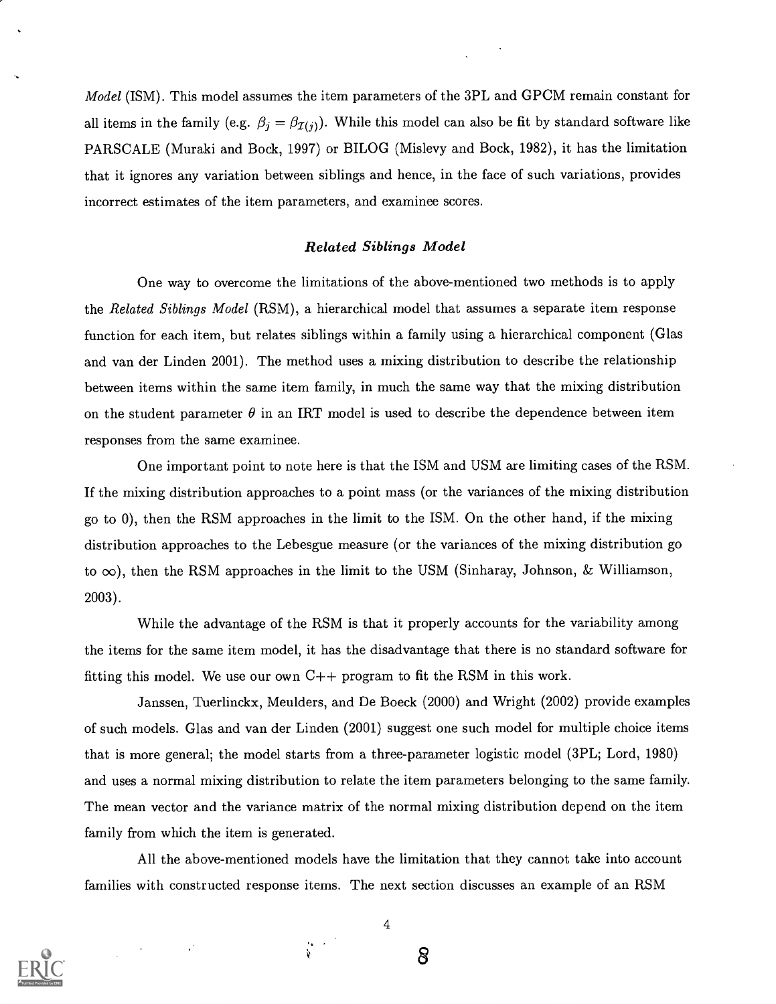Model (ISM). This model assumes the item parameters of the 3PL and GPCM remain constant for all items in the family (e.g.  $\beta_j = \beta_{\mathcal{I}(j)}$ ). While this model can also be fit by standard software like PARSCALE (Muraki and Bock, 1997) or BILOG (Mislevy and Bock, 1982), it has the limitation that it ignores any variation between siblings and hence, in the face of such variations, provides incorrect estimates of the item parameters, and examinee scores.

#### Related Siblings Model

One way to overcome the limitations of the above-mentioned two methods is to apply the Related Siblings Model (RSM), a hierarchical model that assumes a separate item response function for each item, but relates siblings within a family using a hierarchical component (Glas and van der Linden 2001). The method uses a mixing distribution to describe the relationship between items within the same item family, in much the same way that the mixing distribution on the student parameter  $\theta$  in an IRT model is used to describe the dependence between item responses from the same examinee.

One important point to note here is that the ISM and USM are limiting cases of the RSM. If the mixing distribution approaches to a point mass (or the variances of the mixing distribution go to 0), then the RSM approaches in the limit to the ISM. On the other hand, if the mixing distribution approaches to the Lebesgue measure (or the variances of the mixing distribution go to  $\infty$ ), then the RSM approaches in the limit to the USM (Sinharay, Johnson, & Williamson, 2003).

While the advantage of the RSM is that it properly accounts for the variability among the items for the same item model, it has the disadvantage that there is no standard software for fitting this model. We use our own C++ program to fit the RSM in this work.

Janssen, Tuerlinckx, Meulders, and De Boeck (2000) and Wright (2002) provide examples of such models. Glas and van der Linden (2001) suggest one such model for multiple choice items that is more general; the model starts from a three-parameter logistic model (3PL; Lord, 1980) and uses a normal mixing distribution to relate the item parameters belonging to the same family. The mean vector and the variance matrix of the normal mixing distribution depend on the item family from which the item is generated.

All the above-mentioned models have the limitation that they cannot take into account families with constructed response items. The next section discusses an example of an RSM



4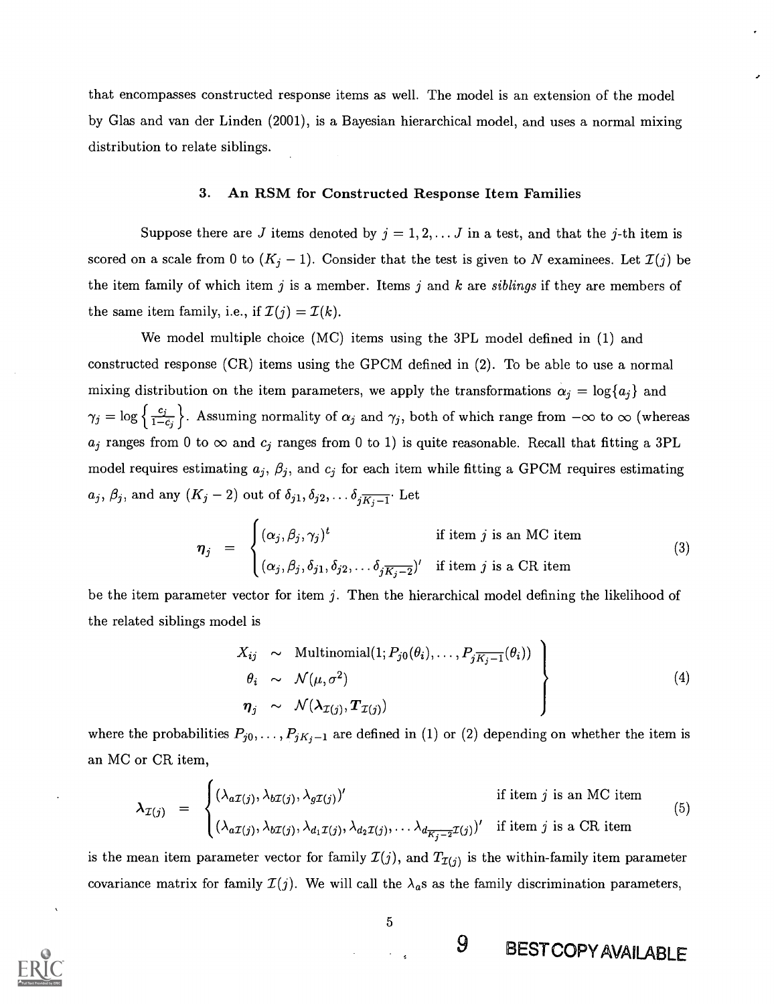that encompasses constructed response items as well. The model is an extension of the model by Glas and van der Linden (2001), is a Bayesian hierarchical model, and uses a normal mixing distribution to relate siblings.

#### 3. An RSM for Constructed Response Item Families

Suppose there are J items denoted by  $j = 1, 2, \ldots J$  in a test, and that the j-th item is scored on a scale from 0 to  $(K_j - 1)$ . Consider that the test is given to N examinees. Let  $\mathcal{I}(j)$  be the item family of which item  $j$  is a member. Items  $j$  and  $k$  are siblings if they are members of the same item family, i.e., if  $\mathcal{I}(j) = \mathcal{I}(k)$ .

We model multiple choice (MC) items using the 3PL model defined in (1) and constructed response (CR) items using the GPCM defined in (2). To be able to use a normal mixing distribution on the item parameters, we apply the transformations  $\alpha_j = \log\{a_j\}$  and  $\gamma_j = \log \left\{\frac{c_j}{1-c_j}\right\}$ . Assuming normality of  $\alpha_j$  and  $\gamma_j$ , both of which range from  $-\infty$  to  $\infty$  (whereas  $a_j$  ranges from 0 to  $\infty$  and  $c_j$  ranges from 0 to 1) is quite reasonable. Recall that fitting a 3PL model requires estimating  $a_j$ ,  $\beta_j$ , and  $c_j$  for each item while fitting a GPCM requires estimating  $a_j, \beta_j$ , and any  $(K_j - 2)$  out of  $\delta_{j1}, \delta_{j2}, \ldots \delta_{j\overline{K_j-1}}$ . Let

$$
\boldsymbol{\eta}_j = \begin{cases} (\alpha_j, \beta_j, \gamma_j)^t & \text{if item } j \text{ is an MC item} \\ (\alpha_j, \beta_j, \delta_{j1}, \delta_{j2}, \ldots \delta_{j\overline{K_j-2}})' & \text{if item } j \text{ is a CR item} \end{cases}
$$
(3)

be the item parameter vector for item  $j$ . Then the hierarchical model defining the likelihood of the related siblings model is

$$
\left\{\n\begin{aligned}\nX_{ij} &\sim \text{Multinomial}(1; P_{j0}(\theta_i), \dots, P_{j\overline{K_j-1}}(\theta_i)) \\
\theta_i &\sim \mathcal{N}(\mu, \sigma^2) \\
\eta_j &\sim \mathcal{N}(\lambda_{\mathcal{I}(j)}, \boldsymbol{T}_{\mathcal{I}(j)})\n\end{aligned}\n\right\}
$$
\n
$$
(4)
$$

where the probabilities  $P_{j0}, \ldots, P_{jK_j-1}$  are defined in (1) or (2) depending on whether the item is an MC or CR item,

$$
\lambda_{\mathcal{I}(j)} = \begin{cases}\n(\lambda_{a\mathcal{I}(j)}, \lambda_{b\mathcal{I}(j)}, \lambda_{g\mathcal{I}(j)})' & \text{if item } j \text{ is an MC item} \\
(\lambda_{a\mathcal{I}(j)}, \lambda_{b\mathcal{I}(j)}, \lambda_{d_1\mathcal{I}(j)}, \lambda_{d_2\mathcal{I}(j)}, \ldots, \lambda_{d_{\overline{K_j - 2}}\mathcal{I}(j)})' & \text{if item } j \text{ is a CR item}\n\end{cases}
$$
\n(5)

is the mean item parameter vector for family  $\mathcal{I}(j)$ , and  $T_{\mathcal{I}(j)}$  is the within-family item parameter covariance matrix for family  $\mathcal{I}(j)$ . We will call the  $\lambda_a$ s as the family discrimination parameters,



5

9 BEST COPY AVAILABLE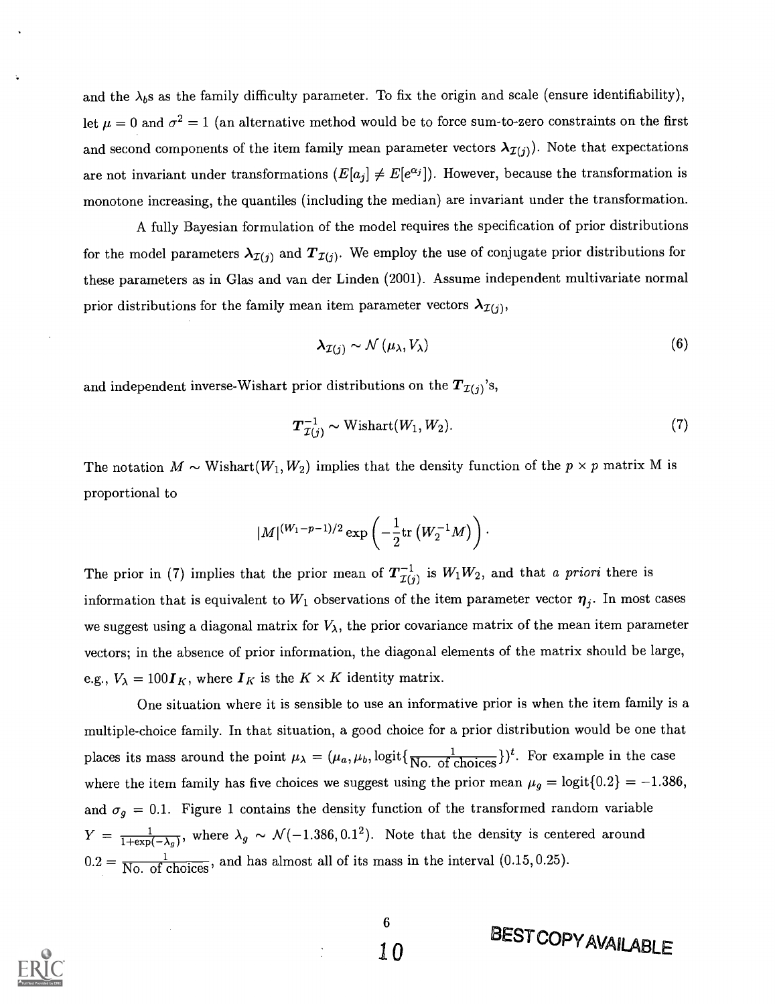and the  $\lambda_b$ s as the family difficulty parameter. To fix the origin and scale (ensure identifiability), let  $\mu = 0$  and  $\sigma^2 = 1$  (an alternative method would be to force sum-to-zero constraints on the first and second components of the item family mean parameter vectors  $\lambda_{\mathcal{I}(j)}$ . Note that expectations are not invariant under transformations  $(E[a_j] \neq E[e^{\alpha_j}])$ . However, because the transformation is monotone increasing, the quantiles (including the median) are invariant under the transformation.

A fully Bayesian formulation of the model requires the specification of prior distributions for the model parameters  $\lambda_{\mathcal{I}(j)}$  and  $T_{\mathcal{I}(j)}$ . We employ the use of conjugate prior distributions for these parameters as in Glas and van der Linden (2001). Assume independent multivariate normal prior distributions for the family mean item parameter vectors  $\lambda_{\mathcal{I}(i)}$ ,

$$
\lambda_{\mathcal{I}(j)} \sim \mathcal{N}\left(\mu_{\lambda}, V_{\lambda}\right) \tag{6}
$$

and independent inverse-Wishart prior distributions on the  $T_{\mathcal{I}(j)}$ 's,

$$
T_{\mathcal{I}(j)}^{-1} \sim \text{Wishart}(W_1, W_2). \tag{7}
$$

BESTCOPYAVAILABLE

The notation  $M \sim \text{Wishart}(W_1, W_2)$  implies that the density function of the  $p \times p$  matrix M is proportional to

$$
|M|^{(W_1-p-1)/2} \exp\left( - \frac{1}{2} \mathrm{tr}\left( W_2^{-1} M\right) \right) \cdot
$$

The prior in (7) implies that the prior mean of  $T_{\mathcal{I}(j)}^{-1}$  is  $W_1W_2$ , and that a priori there is information that is equivalent to  $W_1$  observations of the item parameter vector  $\eta_j$ . In most cases we suggest using a diagonal matrix for  $V_{\lambda}$ , the prior covariance matrix of the mean item parameter vectors; in the absence of prior information, the diagonal elements of the matrix should be large, e.g.,  $V_{\lambda} = 100I_K$ , where  $I_K$  is the  $K \times K$  identity matrix.

One situation where it is sensible to use an informative prior is when the item family is a multiple-choice family. In that situation, a good choice for a prior distribution would be one that places its mass around the point  $\mu_{\lambda} = (\mu_a, \mu_b, \text{logit}\{\frac{1}{\text{No. of choices}}\})^t$ . For example in the case where the item family has five choices we suggest using the prior mean  $\mu_g = \text{logit} \{0.2\} = -1.386$ , and  $\sigma_q = 0.1$ . Figure 1 contains the density function of the transformed random variable  $Y = \frac{1}{1+\exp(-\lambda_g)}$ , where  $\lambda_g \sim \mathcal{N}(-1.386, 0.1^2)$ . Note that the density is centered around  $0.2 = \frac{1}{\text{No. of choices}}$ , and has almost all of its mass in the interval (0.15, 0.25).

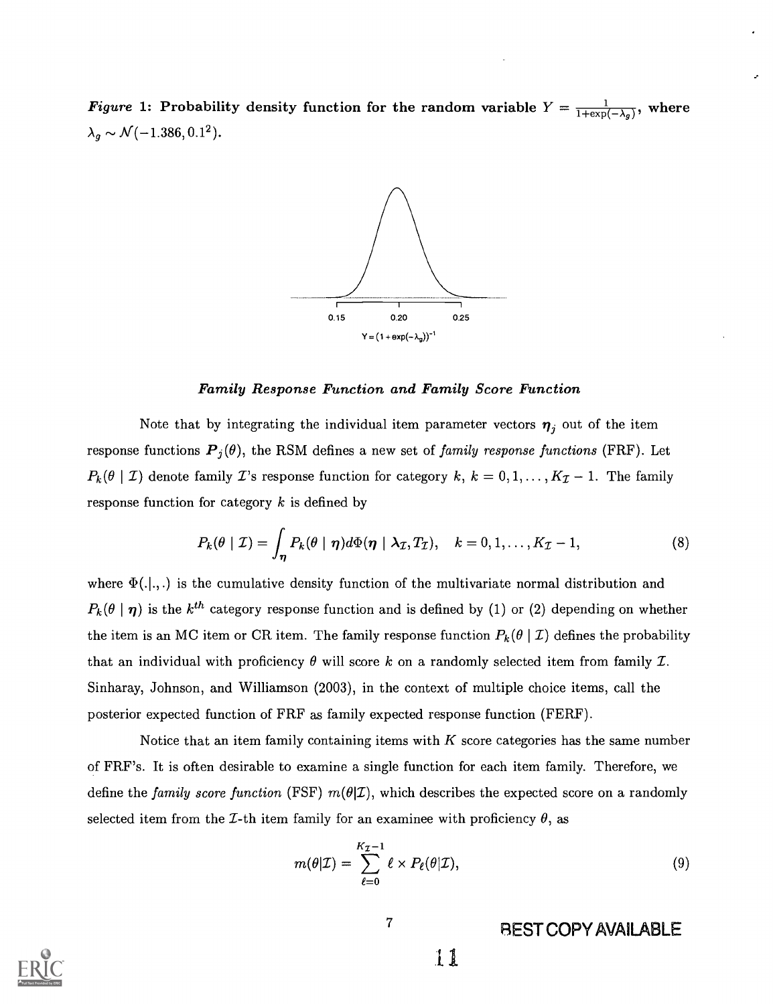Figure 1: Probability density function for the random variable  $Y = \frac{1}{1+\exp(-\lambda_g)}$ , where  $\lambda_g \sim \mathcal{N}(-1.386, 0.1^2).$ 



#### Family Response Function and Family Score Function

Note that by integrating the individual item parameter vectors  $\eta_j$  out of the item response functions  $P_j(\theta)$ , the RSM defines a new set of family response functions (FRF). Let  $P_k(\theta \mid \mathcal{I})$  denote family  $\mathcal{I}$ 's response function for category  $k, k = 0, 1, ..., K_{\mathcal{I}}-1$ . The family response function for category  $k$  is defined by

$$
P_k(\theta \mid \mathcal{I}) = \int_{\eta} P_k(\theta \mid \eta) d\Phi(\eta \mid \lambda_{\mathcal{I}}, T_{\mathcal{I}}), \quad k = 0, 1, \dots, K_{\mathcal{I}} - 1,
$$
 (8)

where  $\Phi(.|.,.)$  is the cumulative density function of the multivariate normal distribution and  $P_k(\theta | \eta)$  is the  $k^{th}$  category response function and is defined by (1) or (2) depending on whether the item is an MC item or CR item. The family response function  $P_k(\theta | \mathcal{I})$  defines the probability that an individual with proficiency  $\theta$  will score k on a randomly selected item from family  $\mathcal{I}$ . Sinharay, Johnson, and Williamson (2003), in the context of multiple choice items, call the posterior expected function of FRF as family expected response function (FERF).

Notice that an item family containing items with  $K$  score categories has the same number of FRF's. It is often desirable to examine a single function for each item family. Therefore, we define the family score function (FSF)  $m(\theta|\mathcal{I})$ , which describes the expected score on a randomly selected item from the *L*-th item family for an examinee with proficiency  $\theta$ , as

$$
m(\theta|\mathcal{I}) = \sum_{\ell=0}^{K_{\mathcal{I}}-1} \ell \times P_{\ell}(\theta|\mathcal{I}),
$$
\n(9)

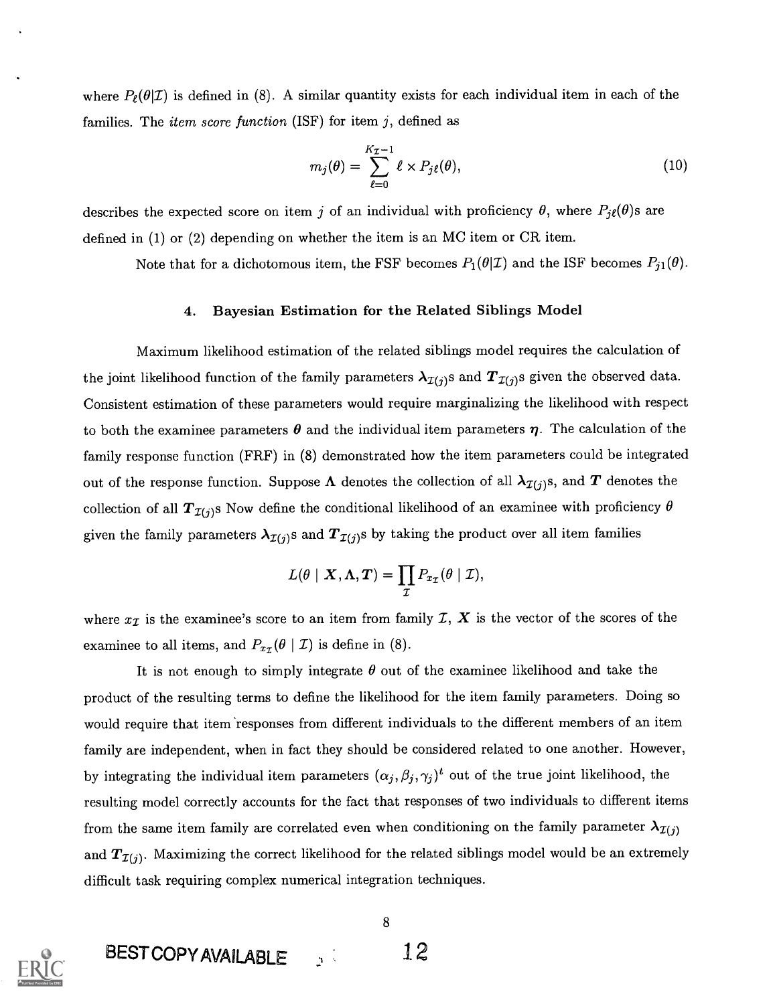where  $P_{\ell}(\theta|\mathcal{I})$  is defined in (8). A similar quantity exists for each individual item in each of the families. The *item score function* (ISF) for item  $j$ , defined as

$$
m_j(\theta) = \sum_{\ell=0}^{K_{\mathcal{I}}-1} \ell \times P_j \ell(\theta), \qquad (10)
$$

describes the expected score on item j of an individual with proficiency  $\theta$ , where  $P_{j\ell}(\theta)$ s are defined in (1) or (2) depending on whether the item is an MC item or CR item.

Note that for a dichotomous item, the FSF becomes  $P_1(\theta|\mathcal{I})$  and the ISF becomes  $P_{j1}(\theta)$ .

#### 4. Bayesian Estimation for the Related Siblings Model

Maximum likelihood estimation of the related siblings model requires the calculation of the joint likelihood function of the family parameters  $\lambda_{\mathcal{I}(j)}$ s and  $T_{\mathcal{I}(j)}$ s given the observed data. Consistent estimation of these parameters would require marginalizing the likelihood with respect to both the examinee parameters  $\theta$  and the individual item parameters  $\eta$ . The calculation of the family response function (FRF) in (8) demonstrated how the item parameters could be integrated out of the response function. Suppose  $\Lambda$  denotes the collection of all  $\lambda_{\mathcal{I}(j)}$ s, and  $T$  denotes the collection of all  $T_{\mathcal{I}(j)}$ s Now define the conditional likelihood of an examinee with proficiency  $\theta$ given the family parameters  $\lambda_{\mathcal{I}(j)}$ s and  $T_{\mathcal{I}(j)}$ s by taking the product over all item families

$$
L(\theta \mid \bm{X}, \bm{\Lambda}, \bm{T}) = \prod_{\mathcal{I}} P_{x_{\mathcal{I}}}(\theta \mid \mathcal{I}),
$$

where  $x_{\mathcal{I}}$  is the examinee's score to an item from family  $\mathcal{I}, X$  is the vector of the scores of the examinee to all items, and  $P_{x}(\theta \mid \mathcal{I})$  is define in (8).

It is not enough to simply integrate  $\theta$  out of the examinee likelihood and take the product of the resulting terms to define the likelihood for the item family parameters. Doing so would require that item 'responses from different individuals to the different members of an item family are independent, when in fact they should be considered related to one another. However, by integrating the individual item parameters  $(\alpha_j,\beta_j,\gamma_j)^t$  out of the true joint likelihood, the resulting model correctly accounts for the fact that responses of two individuals to different items from the same item family are correlated even when conditioning on the family parameter  $\lambda_{\mathcal{I}(i)}$ and  $T_{\mathcal{I}(j)}$ . Maximizing the correct likelihood for the related siblings model would be an extremely difficult task requiring complex numerical integration techniques.



8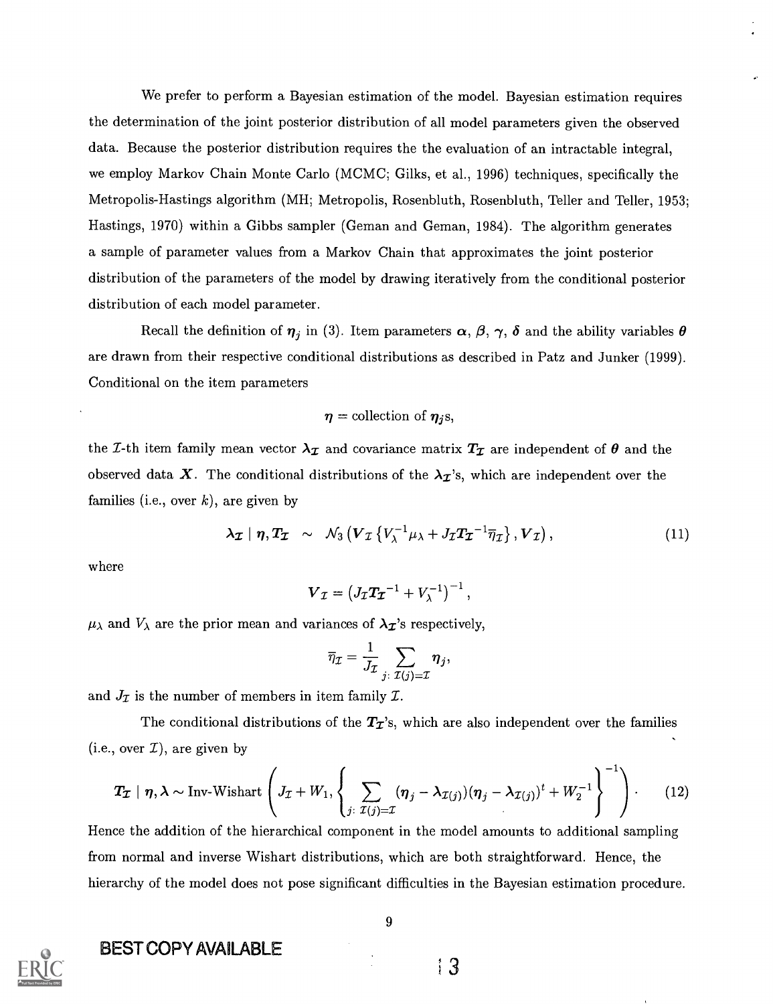We prefer to perform a Bayesian estimation of the model. Bayesian estimation requires the determination of the joint posterior distribution of all model parameters given the observed data. Because the posterior distribution requires the the evaluation of an intractable integral, we employ Markov Chain Monte Carlo (MCMC; Gilks, et al., 1996) techniques, specifically the Metropolis-Hastings algorithm (MH; Metropolis, Rosenbluth, Rosenbluth, Teller and Teller, 1953; Hastings, 1970) within a Gibbs sampler (Geman and Geman, 1984). The algorithm generates a sample of parameter values from a Markov Chain that approximates the joint posterior distribution of the parameters of the model by drawing iteratively from the conditional posterior distribution of each model parameter.

Recall the definition of  $\eta_j$  in (3). Item parameters  $\alpha$ ,  $\beta$ ,  $\gamma$ ,  $\delta$  and the ability variables  $\theta$ are drawn from their respective conditional distributions as described in Patz and Junker (1999). Conditional on the item parameters

#### $\eta$  = collection of  $\eta_i$ s,

the *I*-th item family mean vector  $\lambda_{\mathcal{I}}$  and covariance matrix  $T_{\mathcal{I}}$  are independent of  $\theta$  and the observed data X. The conditional distributions of the  $\lambda_{\mathcal{I}}$ 's, which are independent over the families (i.e., over  $k$ ), are given by

$$
\lambda_{\mathcal{I}} \mid \eta, T_{\mathcal{I}} \sim \mathcal{N}_3 \left( V_{\mathcal{I}} \left\{ V_{\lambda}^{-1} \mu_{\lambda} + J_{\mathcal{I}} T_{\mathcal{I}}^{-1} \overline{\eta}_{\mathcal{I}} \right\}, V_{\mathcal{I}} \right), \tag{11}
$$

where

$$
\boldsymbol{V}_{\mathcal{I}}=\left(J_{\mathcal{I}}\boldsymbol{T}_{\boldsymbol{\mathcal{I}}}^{-1}+V_{\lambda}^{-1}\right)^{-1},
$$

 $\mu_{\lambda}$  and  $V_{\lambda}$  are the prior mean and variances of  $\lambda_{\mathcal{I}}$ 's respectively,

$$
\overline{\eta}_{\mathcal{I}} = \frac{1}{J_{\mathcal{I}}} \sum_{j \colon \mathcal{I}(j) = \mathcal{I}} \boldsymbol{\eta}_j,
$$

and  $J_{\mathcal{I}}$  is the number of members in item family  $\mathcal{I}$ .

The conditional distributions of the  $T_{\mathcal{I}}$ 's, which are also independent over the families (i.e., over  $\mathcal{I}$ ), are given by

$$
\boldsymbol{T}_{\boldsymbol{\mathcal{I}}}\mid \boldsymbol{\eta}, \boldsymbol{\lambda} \sim \text{Inv-Wishart}\left(J_{\mathcal{I}}+W_1,\left\{\sum_{j:\ \mathcal{I}(j)=\mathcal{I}}(\boldsymbol{\eta}_j-\boldsymbol{\lambda}_{\mathcal{I}(j)})(\boldsymbol{\eta}_j-\boldsymbol{\lambda}_{\mathcal{I}(j)})^t+W_2^{-1}\right\}^{-1}\right). \qquad (12)
$$

Hence the addition of the hierarchical component in the model amounts to additional sampling from normal and inverse Wishart distributions, which are both straightforward. Hence, the hierarchy of the model does not pose significant difficulties in the Bayesian estimation procedure.



### BEST COPY AVAILABLE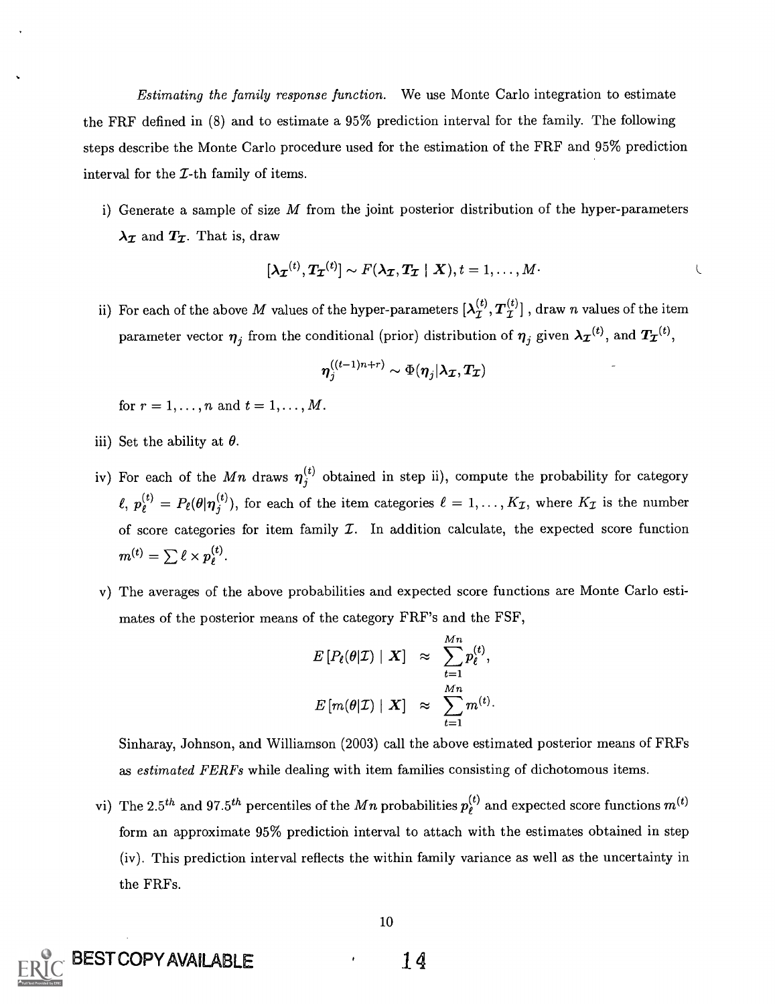Estimating the family response function. We use Monte Carlo integration to estimate the FRF defined in (8) and to estimate a 95% prediction interval for the family. The following steps describe the Monte Carlo procedure used for the estimation of the FRF and 95% prediction interval for the  $I$ -th family of items.

i) Generate a sample of size  $M$  from the joint posterior distribution of the hyper-parameters  $\lambda_{\mathcal{I}}$  and  $T_{\mathcal{I}}$ . That is, draw

$$
[\lambda_{\boldsymbol{\mathcal{I}}}^{(t)}, \boldsymbol{T}_{\boldsymbol{\mathcal{I}}}^{(t)}] \sim F(\lambda_{\boldsymbol{\mathcal{I}}}, \boldsymbol{T}_{\boldsymbol{\mathcal{I}}}\mid \boldsymbol{X}), t = 1,\ldots,M.
$$

ii) For each of the above M values of the hyper-parameters  $[\lambda^{(t)}_{\mathcal{I}}, T^{(t)}_{\mathcal{I}}]$  , draw n values of the item parameter vector  $\eta_j$  from the conditional (prior) distribution of  $\eta_j$  given  $\lambda_{\mathcal{I}}^{(t)}$ , and  $T_{\mathcal{I}}^{(t)}$ ,

$$
\boldsymbol{\eta}_j^{((t-1)n+r)}\sim \Phi(\boldsymbol{\eta}_j|\boldsymbol{\lambda}_{\boldsymbol{\mathcal{I}}},\boldsymbol{T}_{\boldsymbol{\mathcal{I}}})
$$

for  $r = 1, ..., n$  and  $t = 1, ..., M$ .

- iii) Set the ability at  $\theta$ .
- iv) For each of the Mn draws  $\eta_i^{(t)}$  obtained in step ii), compute the probability for category  $\n\ell, p_{\ell}^{(t)} = P_{\ell}(\theta | \eta_j^{(t)})$ , for each of the item categories  $\ell = 1, ..., K_{\mathcal{I}}$ , where  $K_{\mathcal{I}}$  is the number of score categories for item family  $\mathcal{I}$ . In addition calculate, the expected score function  $m^{(t)} = \sum \ell \times p_{\ell}^{(t)}.$
- v) The averages of the above probabilities and expected score functions are Monte Carlo estimates of the posterior means of the category FRF's and the FSF,

$$
E[P_{\ell}(\theta|\mathcal{I}) | \mathbf{X}] \approx \sum_{t=1}^{Mn} p_{\ell}^{(t)},
$$
  

$$
E[m(\theta|\mathcal{I}) | \mathbf{X}] \approx \sum_{t=1}^{Mn} m^{(t)}.
$$

Sinharay, Johnson, and Williamson (2003) call the above estimated posterior means of FRFs as *estimated FERFs* while dealing with item families consisting of dichotomous items.

vi) The 2.5<sup>th</sup> and 97.5<sup>th</sup> percentiles of the M<sub>n</sub> probabilities  $p_{\ell}^{(t)}$  and expected score functions  $m^{(t)}$ form an approximate 95% prediction interval to attach with the estimates obtained in step (iv). This prediction interval reflects the within family variance as well as the uncertainty in the FRFs.



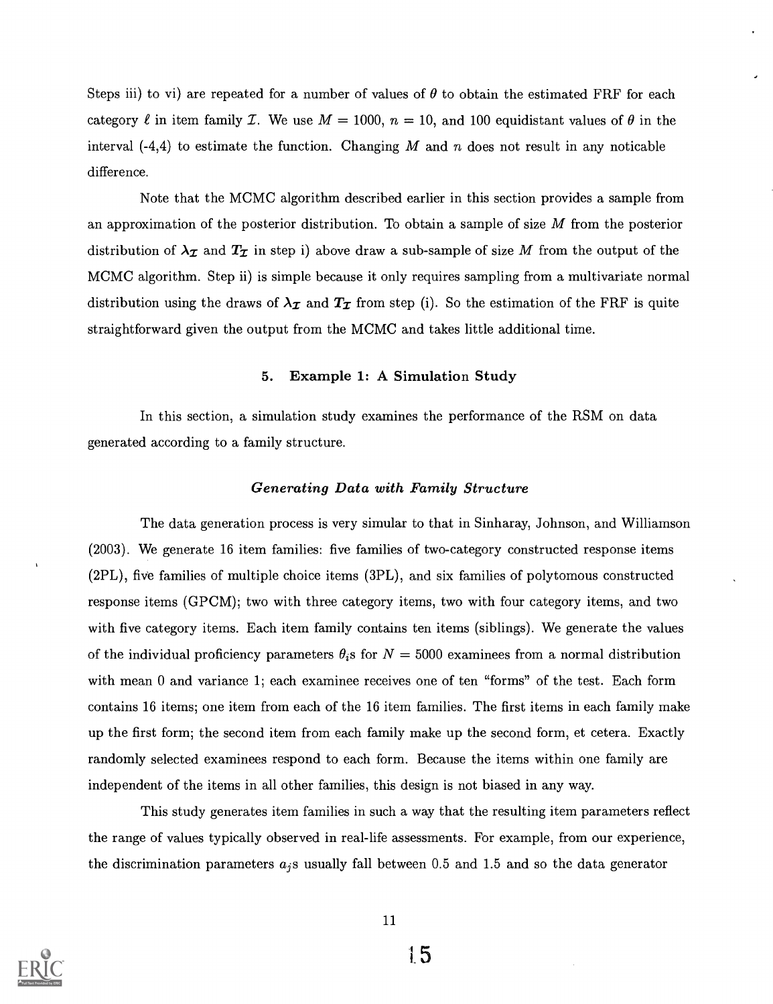Steps iii) to vi) are repeated for a number of values of  $\theta$  to obtain the estimated FRF for each category  $\ell$  in item family *I*. We use  $M = 1000$ ,  $n = 10$ , and 100 equidistant values of  $\theta$  in the interval  $(-4,4)$  to estimate the function. Changing M and n does not result in any noticable difference.

Note that the MCMC algorithm described earlier in this section provides a sample from an approximation of the posterior distribution. To obtain a sample of size  $M$  from the posterior distribution of  $\lambda_{\mathcal{I}}$  and  $T_{\mathcal{I}}$  in step i) above draw a sub-sample of size M from the output of the MCMC algorithm. Step ii) is simple because it only requires sampling from a multivariate normal distribution using the draws of  $\lambda_{\mathcal{I}}$  and  $T_{\mathcal{I}}$  from step (i). So the estimation of the FRF is quite straightforward given the output from the MCMC and takes little additional time.

#### 5. Example 1: A Simulation Study

In this section, a simulation study examines the performance of the RSM on data generated according to a family structure.

#### Generating Data with Family Structure

The data generation process is very simular to that in Sinharay, Johnson, and Williamson (2003). We generate 16 item families: five families of two-category constructed response items (2PL), five families of multiple choice items (3PL), and six families of polytomous constructed response items (GPCM); two with three category items, two with four category items, and two with five category items. Each item family contains ten items (siblings). We generate the values of the individual proficiency parameters  $\theta_i$  s for  $N = 5000$  examinees from a normal distribution with mean 0 and variance 1; each examinee receives one of ten "forms" of the test. Each form contains 16 items; one item from each of the 16 item families. The first items in each family make up the first form; the second item from each family make up the second form, et cetera. Exactly randomly selected examinees respond to each form. Because the items within one family are independent of the items in all other families, this design is not biased in any way.

This study generates item families in such a way that the resulting item parameters reflect the range of values typically observed in real-life assessments. For example, from our experience, the discrimination parameters  $a_i$ s usually fall between 0.5 and 1.5 and so the data generator

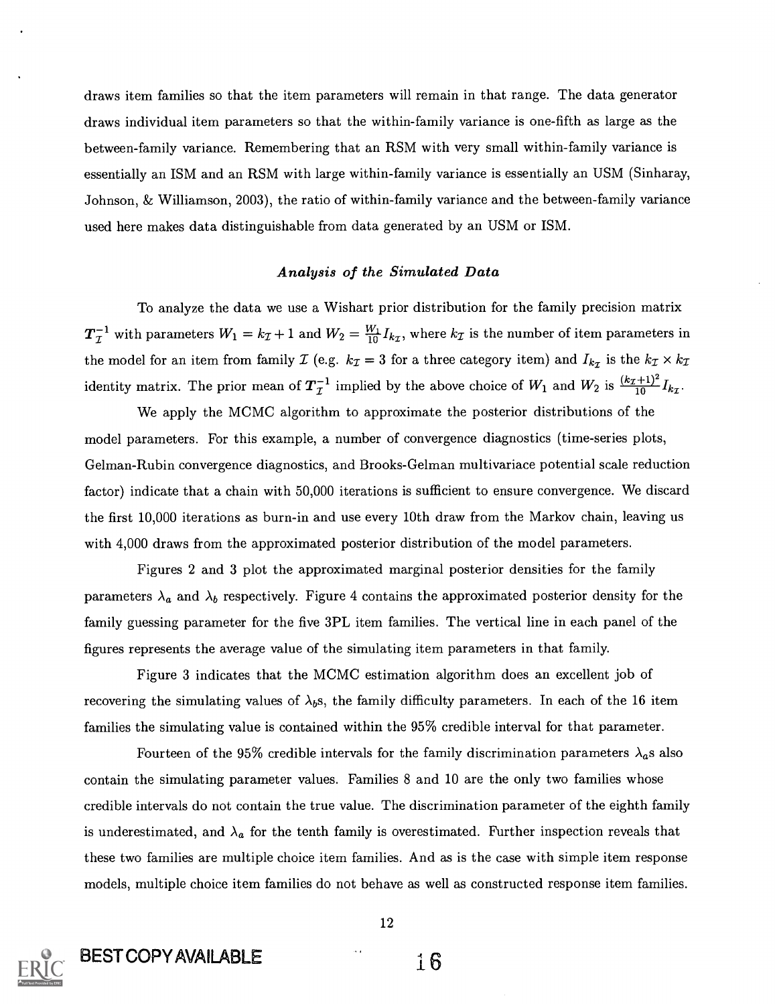draws item families so that the item parameters will remain in that range. The data generator draws individual item parameters so that the within-family variance is one-fifth as large as the between-family variance. Remembering that an RSM with very small within-family variance is essentially an ISM and an RSM with large within-family variance is essentially an USM (Sinharay, Johnson, & Williamson, 2003), the ratio of within-family variance and the between-family variance used here makes data distinguishable from data generated by an USM or ISM.

#### Analysis of the Simulated Data

To analyze the data we use a Wishart prior distribution for the family precision matrix  $T_{\mathcal{I}}^{-1}$  with parameters  $W_1 = k_{\mathcal{I}} + 1$  and  $W_2 = \frac{W_1}{10} I_{k_{\mathcal{I}}}$ , where  $k_{\mathcal{I}}$  is the number of item parameters in the model for an item from family  $\mathcal{I}$  (e.g.  $k_{\mathcal{I}} = 3$  for a three category item) and  $I_{k_{\mathcal{I}}}$  is the  $k_{\mathcal{I}} \times k_{\mathcal{I}}$ <br>identity matrix. The prior mean of  $T_{\mathcal{I}}^{-1}$  implied by the above choice of  $W_1$ 

We apply the MCMC algorithm to approximate the posterior distributions of the model parameters. For this example, a number of convergence diagnostics (time-series plots, Gelman-Rubin convergence diagnostics, and Brooks-Gelman multivariace potential scale reduction factor) indicate that a chain with 50,000 iterations is sufficient to ensure convergence. We discard the first 10,000 iterations as burn-in and use every 10th draw from the Markov chain, leaving us with 4,000 draws from the approximated posterior distribution of the model parameters.

Figures 2 and 3 plot the approximated marginal posterior densities for the family parameters  $\lambda_a$  and  $\lambda_b$  respectively. Figure 4 contains the approximated posterior density for the family guessing parameter for the five 3PL item families. The vertical line in each panel of the figures represents the average value of the simulating item parameters in that family.

Figure 3 indicates that the MCMC estimation algorithm does an excellent job of recovering the simulating values of  $\lambda_b$ s, the family difficulty parameters. In each of the 16 item families the simulating value is contained within the 95% credible interval for that parameter.

Fourteen of the 95% credible intervals for the family discrimination parameters  $\lambda_a$ s also contain the simulating parameter values. Families 8 and 10 are the only two families whose credible intervals do not contain the true value. The discrimination parameter of the eighth family is underestimated, and  $\lambda_a$  for the tenth family is overestimated. Further inspection reveals that these two families are multiple choice item families. And as is the case with simple item response models, multiple choice item families do not behave as well as constructed response item families.

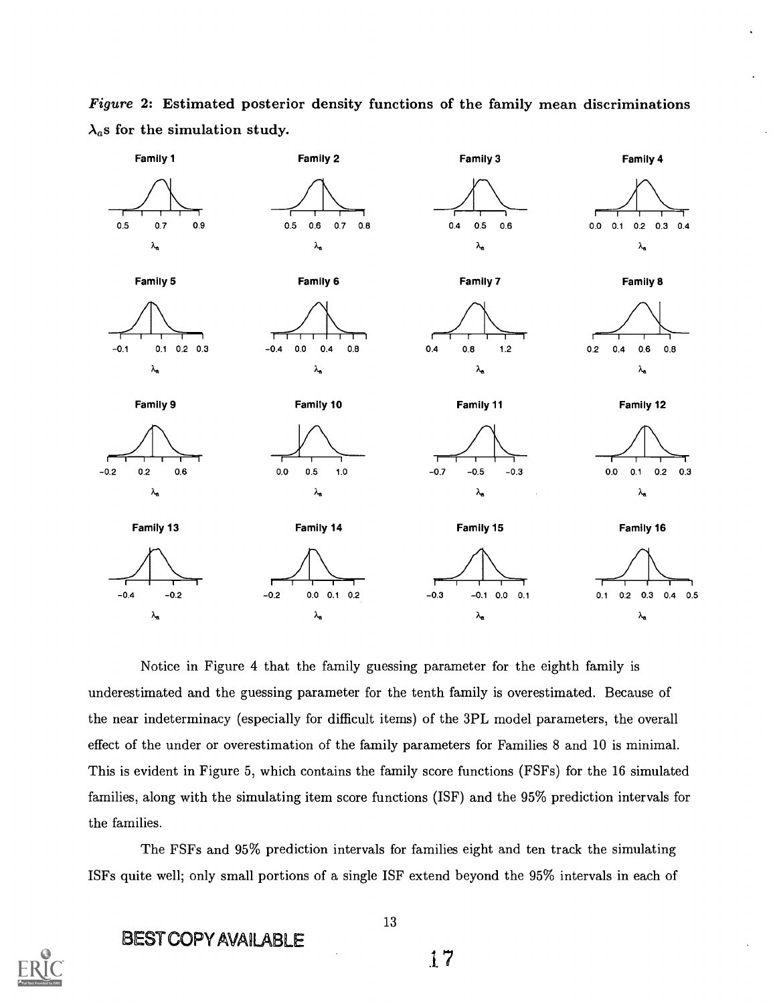Figure 2: Estimated posterior density functions of the family mean discriminations  $\lambda_a$ s for the simulation study.



Notice in Figure 4 that the family guessing parameter for the eighth family is underestimated and the guessing parameter for the tenth family is overestimated. Because of the near indeterminacy (especially for difficult items) of the 3PL model parameters, the overall effect of the under or overestimation of the family parameters for Families 8 and 10 is minimal. This is evident in Figure 5, which contains the family score functions (FSFs) for the 16 simulated families, along with the simulating item score functions (ISF) and the 95% prediction intervals for the families.

The FSFs and 95% prediction intervals for families eight and ten track the simulating ISFs quite well; only small portions of a single ISF extend beyond the 95% intervals in each of



### BEST COPY AVAILABLE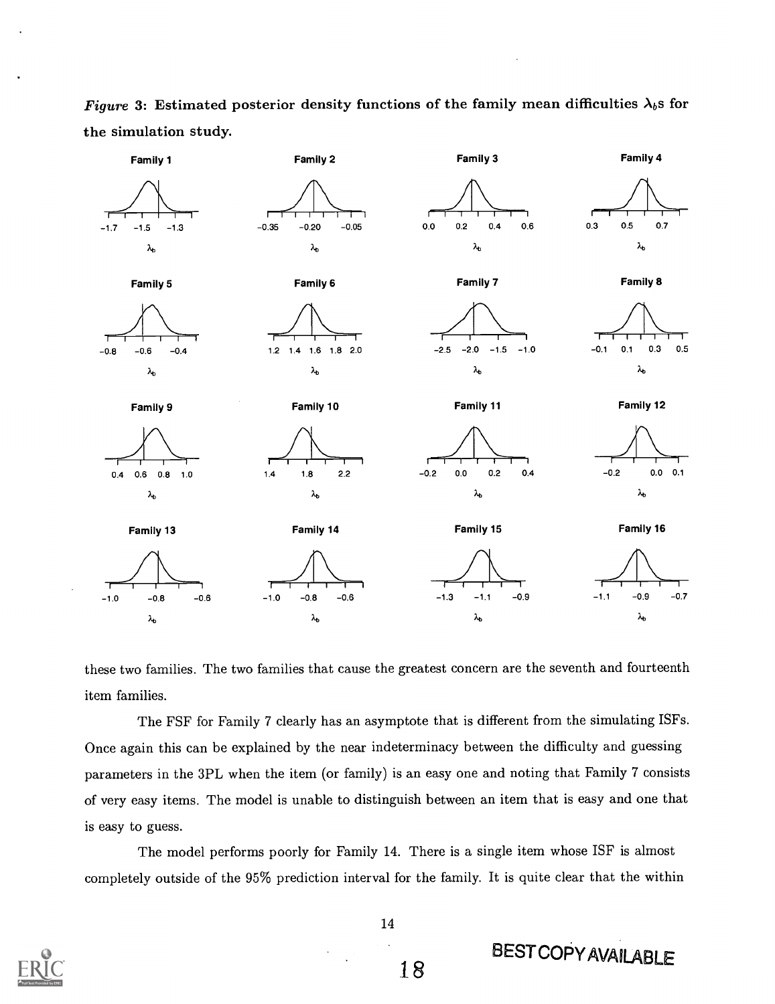Figure 3: Estimated posterior density functions of the family mean difficulties  $\lambda_b$ s for the simulation study.



these two families. The two families that cause the greatest concern are the seventh and fourteenth item families.

The FSF for Family 7 clearly has an asymptote that is different from the simulating ISFs. Once again this can be explained by the near indeterminacy between the difficulty and guessing parameters in the 3PL when the item (or family) is an easy one and noting that Family 7 consists of very easy items. The model is unable to distinguish between an item that is easy and one that is easy to guess.

The model performs poorly for Family 14. There is a single item whose ISF is almost completely outside of the 95% prediction interval for the family. It is quite clear that the within



**BESTCOPY AVAILABLE**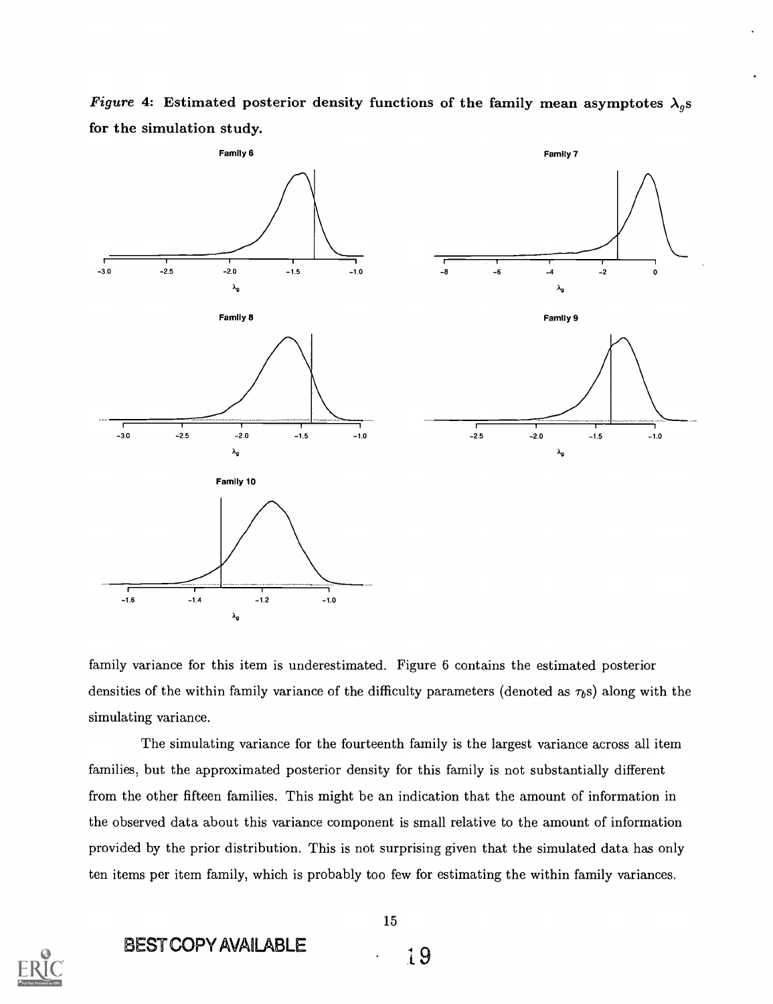

Figure 4: Estimated posterior density functions of the family mean asymptotes  $\lambda_g$ s for the simulation study.

family variance for this item is underestimated. Figure 6 contains the estimated posterior densities of the within family variance of the difficulty parameters (denoted as  $\tau_{b}$ s) along with the simulating variance.

The simulating variance for the fourteenth family is the largest variance across all item families, but the approximated posterior density for this family is not substantially different from the other fifteen families. This might be an indication that the amount of information in the observed data about this variance component is small relative to the amount of information provided by the prior distribution. This is not surprising given that the simulated data has only ten items per item family, which is probably too few for estimating the within family variances.



BEST COPY AVAILABLE<br>
i9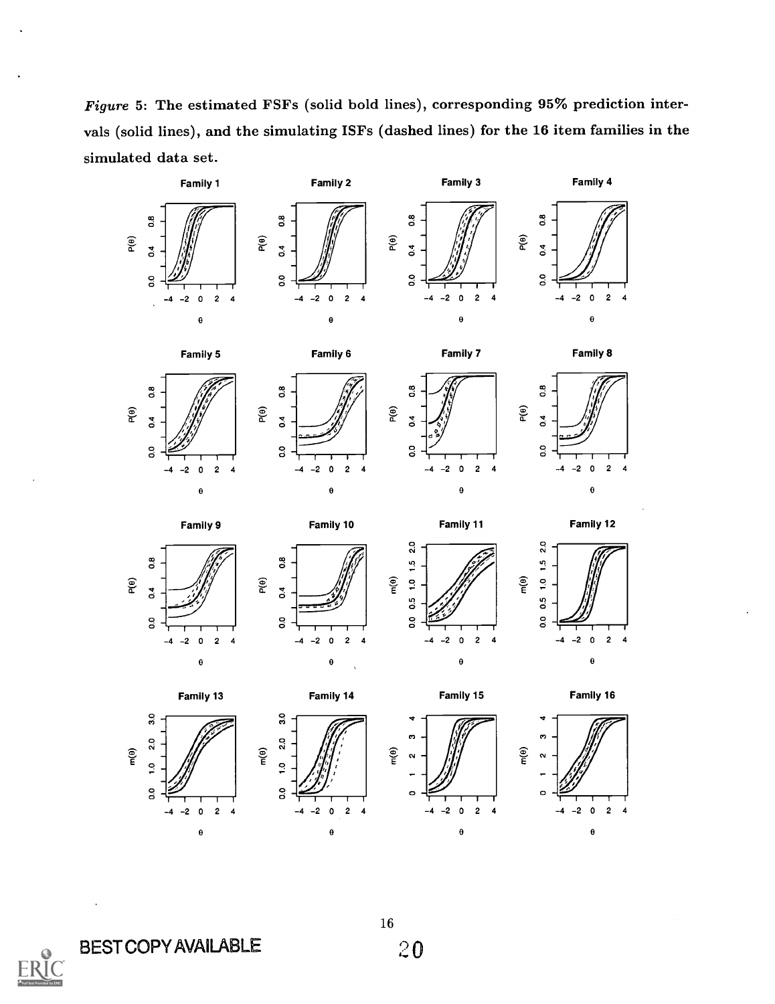Figure 5: The estimated FSFs (solid bold lines), corresponding 95% prediction intervals (solid lines), and the simulating ISFs (dashed lines) for the 16 item families in the simulated data set.



BEST COPY AVAILABLE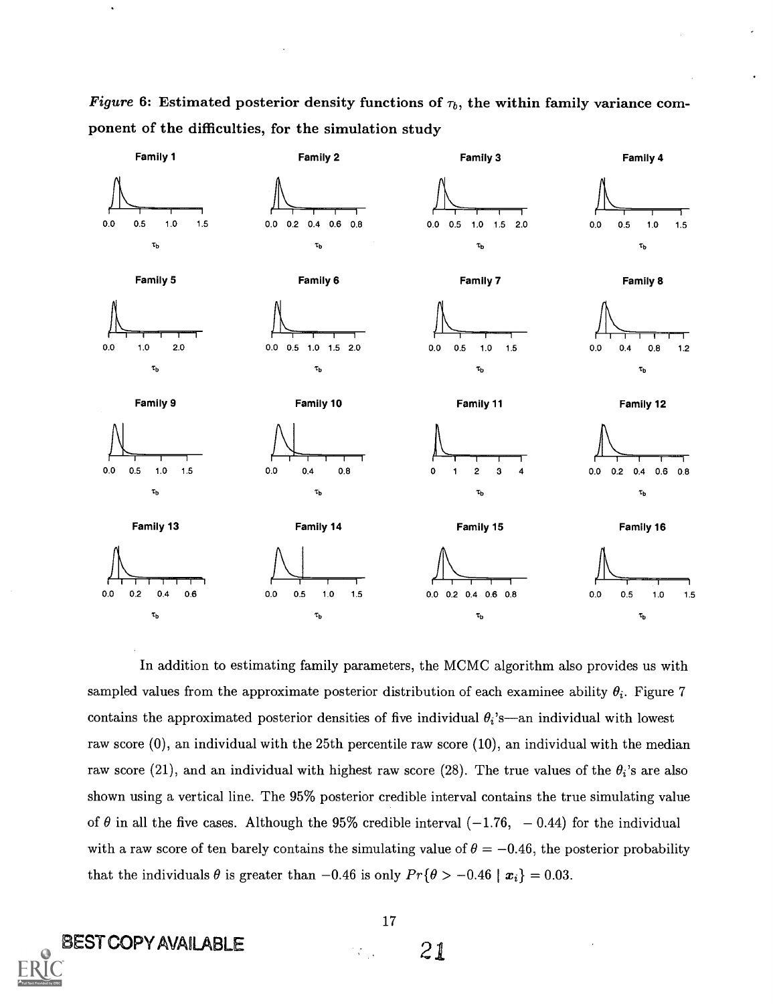Figure 6: Estimated posterior density functions of  $\tau_b$ , the within family variance component of the difficulties, for the simulation study



In addition to estimating family parameters, the MCMC algorithm also provides us with sampled values from the approximate posterior distribution of each examinee ability  $\theta_i$ . Figure 7 contains the approximated posterior densities of five individual  $\theta_i$ 's-an individual with lowest raw score (0), an individual with the 25th percentile raw score (10), an individual with the median raw score (21), and an individual with highest raw score (28). The true values of the  $\theta_i$ 's are also shown using a vertical line. The 95% posterior credible interval contains the true simulating value of  $\theta$  in all the five cases. Although the 95% credible interval (-1.76, -0.44) for the individual with a raw score of ten barely contains the simulating value of  $\theta = -0.46$ , the posterior probability that the individuals  $\theta$  is greater than  $-0.46$  is only  $Pr{\theta > -0.46 \mid \mathbf{x}_i} = 0.03$ .

BEST COPY AVAILABLE

 $\hat{\phantom{a}}$ 

17

 $\mathcal{L}_{\mathrm{int}}$ 

21.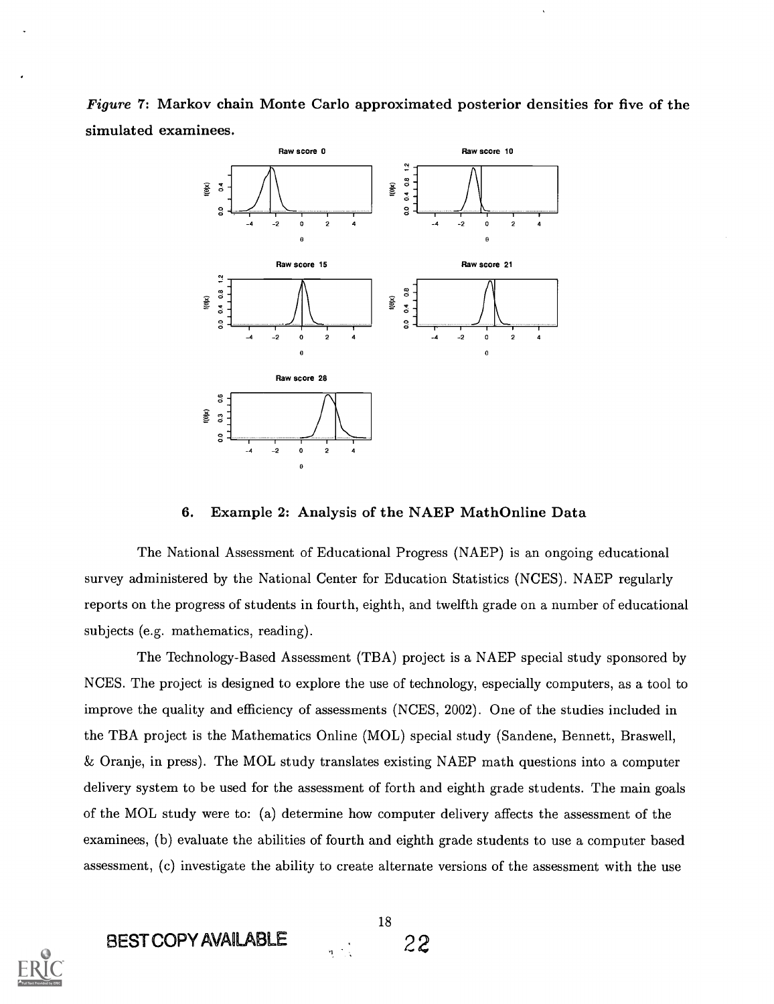Figure 7: Markov chain Monte Carlo approximated posterior densities for five of the simulated examinees.



#### 6. Example 2: Analysis of the NAEP MathOnline Data

The National Assessment of Educational Progress (NAEP) is an ongoing educational survey administered by the National Center for Education Statistics (NCES). NAEP regularly reports on the progress of students in fourth, eighth, and twelfth grade on a number of educational subjects (e.g. mathematics, reading).

The Technology-Based Assessment (TBA) project is a NAEP special study sponsored by NCES. The project is designed to explore the use of technology, especially computers, as a tool to improve the quality and efficiency of assessments (NCES, 2002). One of the studies included in the TBA project is the Mathematics Online (MOL) special study (Sandene, Bennett, Braswell, Oranje, in press). The MOL study translates existing NAEP math questions into a computer delivery system to be used for the assessment of forth and eighth grade students. The main goals of the MOL study were to: (a) determine how computer delivery affects the assessment of the examinees, (b) evaluate the abilities of fourth and eighth grade students to use a computer based assessment, (c) investigate the ability to create alternate versions of the assessment with the use



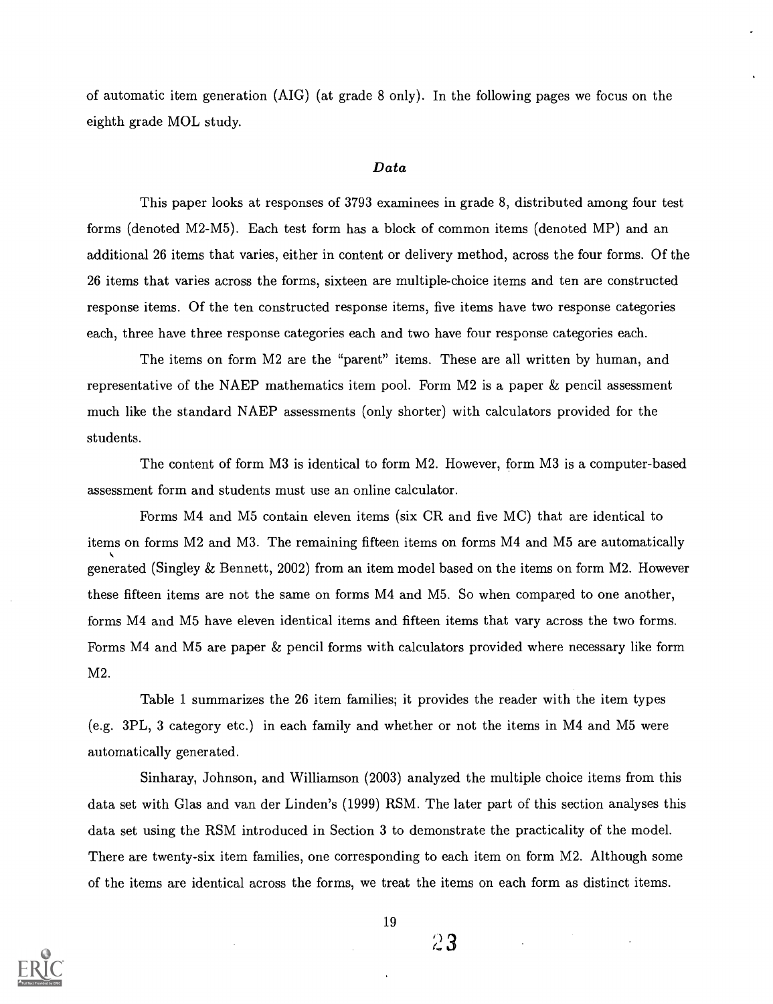of automatic item generation (AIG) (at grade 8 only). In the following pages we focus on the eighth grade MOL study.

#### Data

This paper looks at responses of 3793 examinees in grade 8, distributed among four test forms (denoted M2-M5). Each test form has a block of common items (denoted MP) and an additional 26 items that varies, either in content or delivery method, across the four forms. Of the 26 items that varies across the forms, sixteen are multiple-choice items and ten are constructed response items. Of the ten constructed response items, five items have two response categories each, three have three response categories each and two have four response categories each.

The items on form M2 are the "parent" items. These are all written by human, and representative of the NAEP mathematics item pool. Form M2 is a paper & pencil assessment much like the standard NAEP assessments (only shorter) with calculators provided for the students.

The content of form M3 is identical to form M2. However, form M3 is a computer-based assessment form and students must use an online calculator.

Forms M4 and M5 contain eleven items (six CR and five MC) that are identical to items on forms M2 and M3. The remaining fifteen items on forms M4 and M5 are automatically generated (Singley & Bennett, 2002) from an item model based on the items on form M2. However these fifteen items are not the same on forms M4 and M5. So when compared to one another, forms M4 and M5 have eleven identical items and fifteen items that vary across the two forms. Forms M4 and M5 are paper & pencil forms with calculators provided where necessary like form M2.

Table 1 summarizes the 26 item families; it provides the reader with the item types (e.g. 3PL, 3 category etc.) in each family and whether or not the items in M4 and M5 were automatically generated.

Sinharay, Johnson, and Williamson (2003) analyzed the multiple choice items from this data set with Glas and van der Linden's (1999) RSM. The later part of this section analyses this data set using the RSM introduced in Section 3 to demonstrate the practicality of the model. There are twenty-six item families, one corresponding to each item on form M2. Although some of the items are identical across the forms, we treat the items on each form as distinct items.



19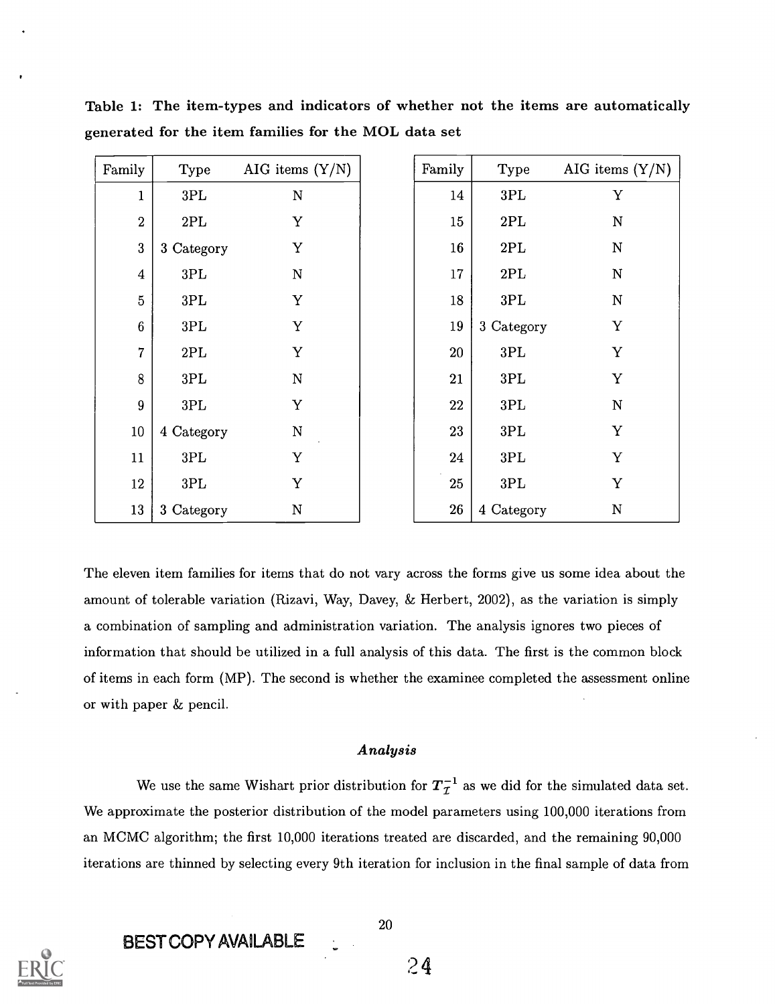| Family           | Type           | AIG items $(Y/N)$       | Family     | Type           | AIG items $(Y/N)$ |
|------------------|----------------|-------------------------|------------|----------------|-------------------|
| $\mathbf{1}$     | 3PL            | N                       | 14         | $3\mathrm{PL}$ | Y                 |
| $\sqrt{2}$       | $2\mathrm{PL}$ | $\mathbf Y$             | 15         | 2PL            | $\mathbf N$       |
| $\bf 3$          | 3 Category     | Y                       | $16\,$     | $2\mathrm{PL}$ | $\mathbf N$       |
| $\boldsymbol{4}$ | $3\mathrm{PL}$ | $\overline{N}$          | 17         | 2PL            | $\mathbf N$       |
| $\overline{5}$   | 3PL            | Y                       | 18         | 3PL            | $\mathbf N$       |
| $\boldsymbol{6}$ | $3\mathrm{PL}$ | Y                       | $19\,$     | 3 Category     | $\mathbf Y$       |
| $\overline{7}$   | $2\mathrm{PL}$ | Y                       | 20         | 3PL            | Y                 |
| 8                | $3\mathrm{PL}$ | N                       | 21         | $3\mathrm{PL}$ | $\mathbf Y$       |
| 9                | $3\mathrm{PL}$ | Y                       | 22         | $3\mathrm{PL}$ | ${\bf N}$         |
| $10\,$           | 4 Category     | $\overline{\mathbf{N}}$ | 23         | $3\mathrm{PL}$ | Y                 |
| 11               | $3\mathrm{PL}$ | Y                       | 24         | $3\mathrm{PL}$ | Y                 |
| 12               | $3\mathrm{PL}$ | Y                       | 25         | $3\mathrm{PL}$ | $\mathbf Y$       |
| 13               | 3 Category     | ${\bf N}$               | ${\bf 26}$ | 4 Category     | ${\bf N}$         |

Table 1: The item-types and indicators of whether not the items are automatically generated for the item families for the MOL data set

The eleven item families for items that do not vary across the forms give us some idea about the amount of tolerable variation (Rizavi, Way, Davey, & Herbert, 2002), as the variation is simply a combination of sampling and administration variation. The analysis ignores two pieces of information that should be utilized in a full analysis of this data. The first is the common block of items in each form (MP). The second is whether the examinee completed the assessment online or with paper & pencil.

#### Analysis

We use the same Wishart prior distribution for  $T_{\tau}^{-1}$  as we did for the simulated data set. We approximate the posterior distribution of the model parameters using 100,000 iterations from an MCMC algorithm; the first 10,000 iterations treated are discarded, and the remaining 90,000 iterations are thinned by selecting every 9th iteration for inclusion in the final sample of data from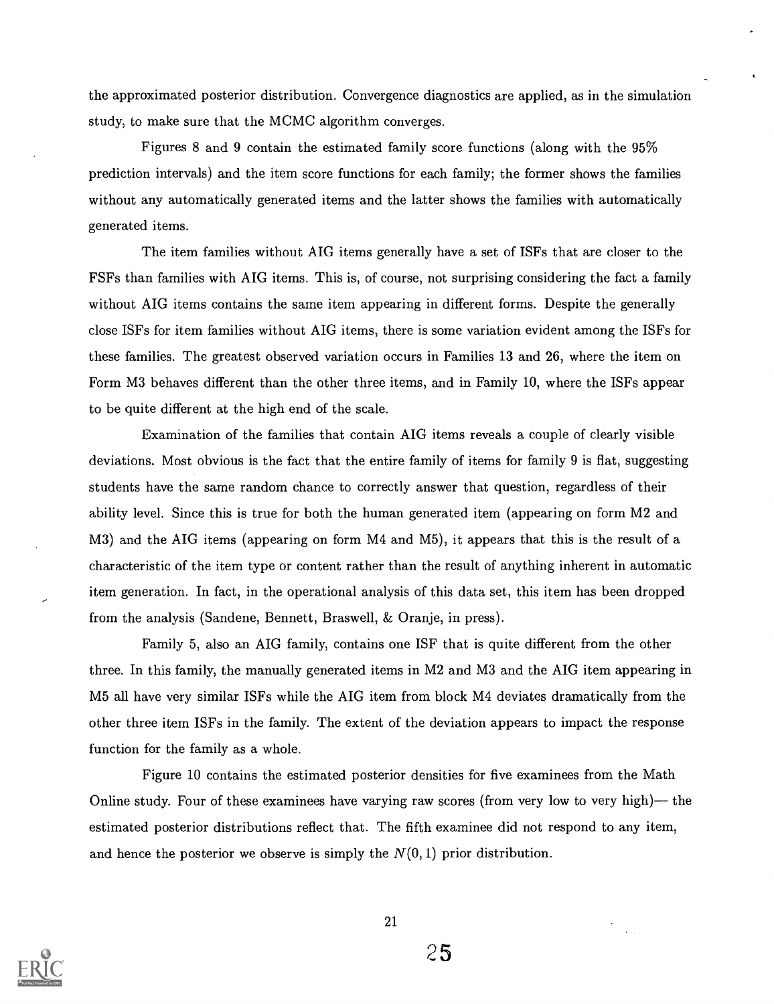the approximated posterior distribution. Convergence diagnostics are applied, as in the simulation study, to make sure that the MCMC algorithm converges.

Figures 8 and 9 contain the estimated family score functions (along with the 95% prediction intervals) and the item score functions for each family; the former shows the families without any automatically generated items and the latter shows the families with automatically generated items.

The item families without AIG items generally have a set of ISFs that are closer to the FSFs than families with AIG items. This is, of course, not surprising considering the fact a family without AIG items contains the same item appearing in different forms. Despite the generally close ISFs for item families without AIG items, there is some variation evident among the ISFs for these families. The greatest observed variation occurs in Families 13 and 26, where the item on Form M3 behaves different than the other three items, and in Family 10, where the ISFs appear to be quite different at the high end of the scale.

Examination of the families that contain AIG items reveals a couple of clearly visible deviations. Most obvious is the fact that the entire family of items for family 9 is flat, suggesting students have the same random chance to correctly answer that question, regardless of their ability level. Since this is true for both the human generated item (appearing on form M2 and M3) and the AIG items (appearing on form M4 and M5), it appears that this is the result of a characteristic of the item type or content rather than the result of anything inherent in automatic item generation. In fact, in the operational analysis of this data set, this item has been dropped from the analysis (Sandene, Bennett, Braswell, & Oranje, in press).

Family 5, also an AIG family, contains one ISF that is quite different from the other three. In this family, the manually generated items in M2 and M3 and the AIG item appearing in M5 all have very similar ISFs while the AIG item from block M4 deviates dramatically from the other three item ISFs in the family. The extent of the deviation appears to impact the response function for the family as a whole.

Figure 10 contains the estimated posterior densities for five examinees from the Math Online study. Four of these examinees have varying raw scores (from very low to very high)— the estimated posterior distributions reflect that. The fifth examinee did not respond to any item, and hence the posterior we observe is simply the  $N(0,1)$  prior distribution.

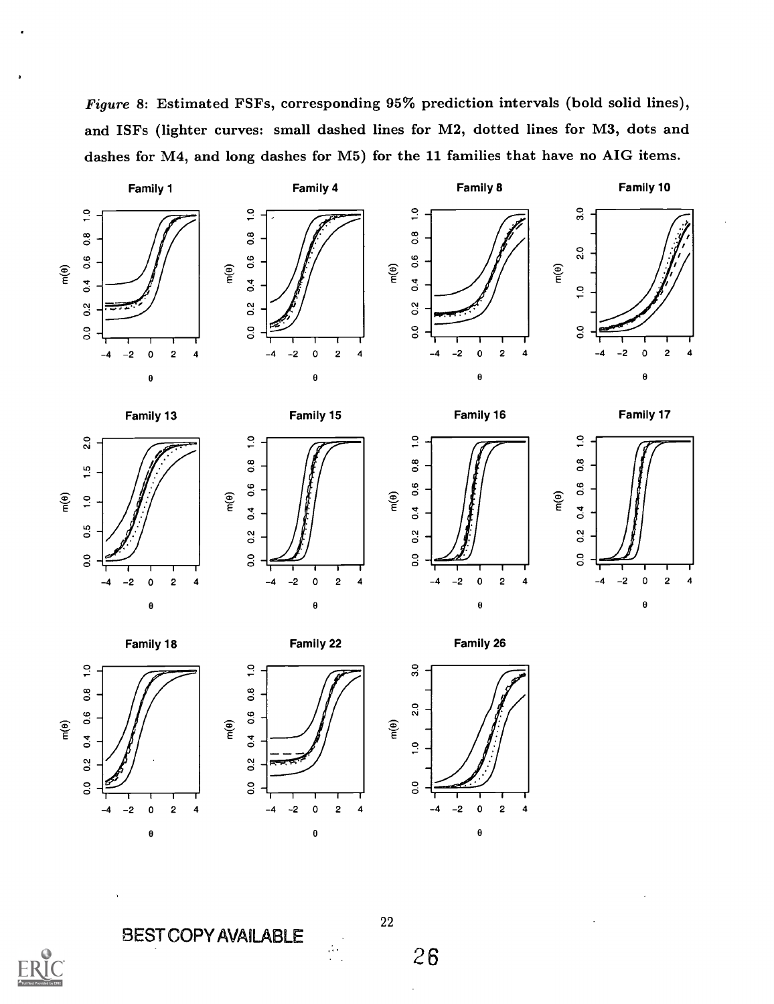Figure 8: Estimated FSFs, corresponding 95% prediction intervals (bold solid lines), and ISFs (lighter curves: small dashed lines for M2, dotted lines for M3, dots and dashes for M4, and long dashes for M5) for the 11 families that have no AIG items.





 $\mathsf{m}(\mathsf{0})$ 





 $\circ$  and  $\circ$ 

Family 10

Family 13











 $\theta$ 

Family 18





 $\theta$ 





BEST COPY AVAILABLE

 $\widetilde{\mathsf{e}}$ 

o.2

O O

22

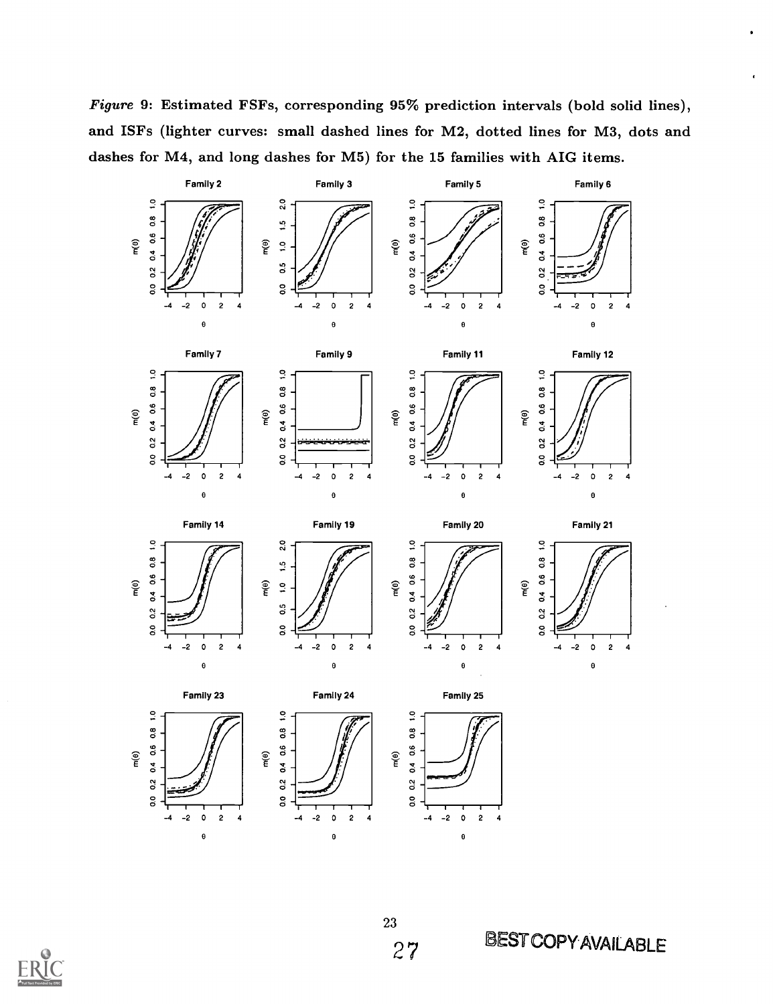Figure 9: Estimated FSFs, corresponding 95% prediction intervals (bold solid lines), and ISFs (lighter curves: small dashed lines for M2, dotted lines for M3, dots and dashes for M4, and long dashes for M5) for the 15 families with AIG items.



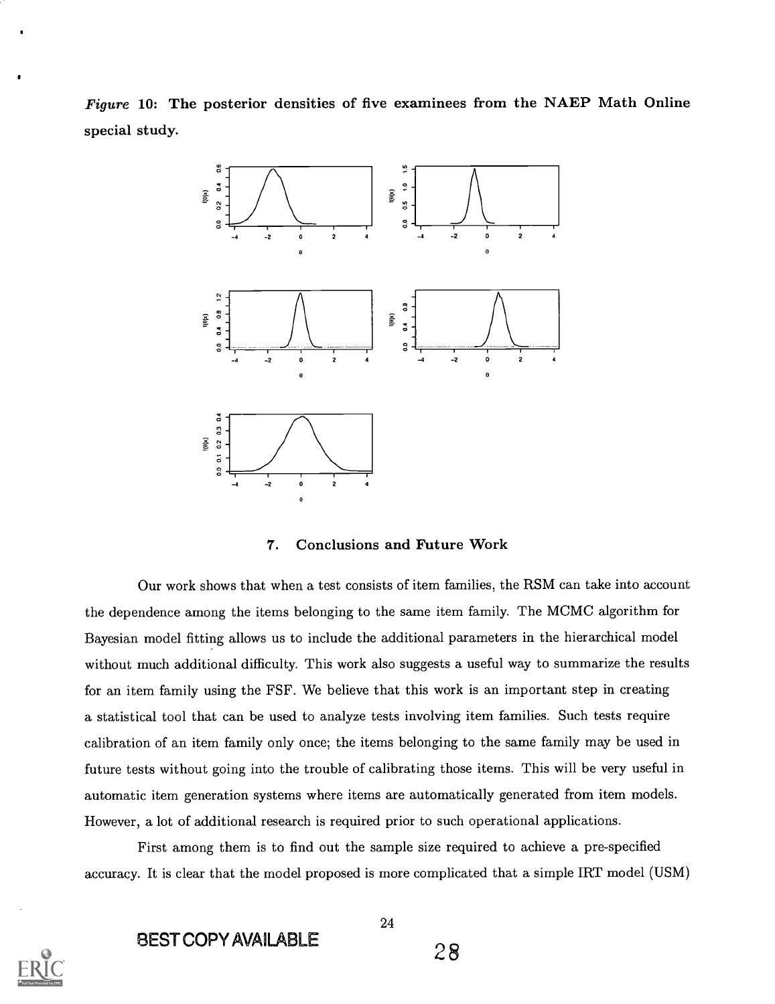Figure 10: The posterior densities of five examinees from the NAEP Math Online special study.



#### 7. Conclusions and Future Work

Our work shows that when a test consists of item families, the RSM can take into account the dependence among the items belonging to the same item family. The MCMC algorithm for Bayesian model fitting allows us to include the additional parameters in the hierarchical model without much additional difficulty. This work also suggests a useful way to summarize the results for an item family using the FSF. We believe that this work is an important step in creating a statistical tool that can be used to analyze tests involving item families. Such tests require calibration of an item family only once; the items belonging to the same family may be used in future tests without going into the trouble of calibrating those items. This will be very useful in automatic item generation systems where items are automatically generated from item models. However, a lot of additional research is required prior to such operational applications.

First among them is to find out the sample size required to achieve a pre-specified accuracy. It is clear that the model proposed is more complicated that a simple IRT model (USM)



BEST COPY AVAILABLE 28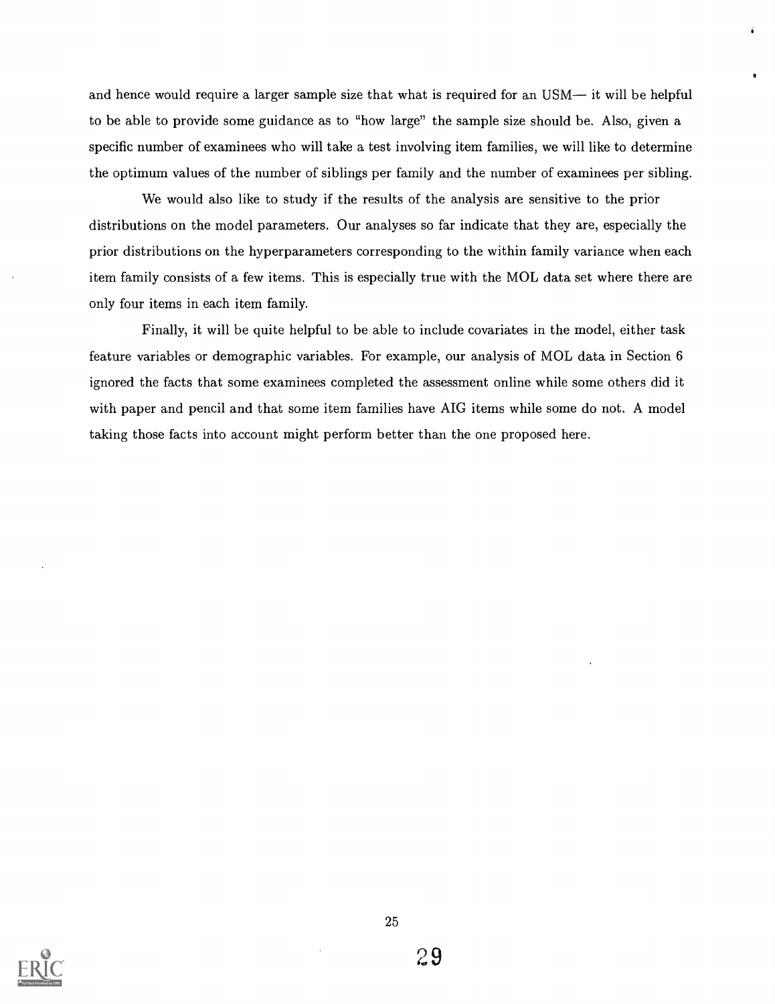and hence would require a larger sample size that what is required for an USM— it will be helpful to be able to provide some guidance as to "how large" the sample size should be. Also, given a specific number of examinees who will take a test involving item families, we will like to determine the optimum values of the number of siblings per family and the number of examinees per sibling.

We would also like to study if the results of the analysis are sensitive to the prior distributions on the model parameters. Our analyses so far indicate that they are, especially the prior distributions on the hyperparameters corresponding to the within family variance when each item family consists of a few items. This is especially true with the MOL data set where there are only four items in each item family.

Finally, it will be quite helpful to be able to include covariates in the model, either task feature variables or demographic variables. For example, our analysis of MOL data in Section 6 ignored the facts that some examinees completed the assessment online while some others did it with paper and pencil and that some item families have AIG items while some do not. A model taking those facts into account might perform better than the one proposed here.

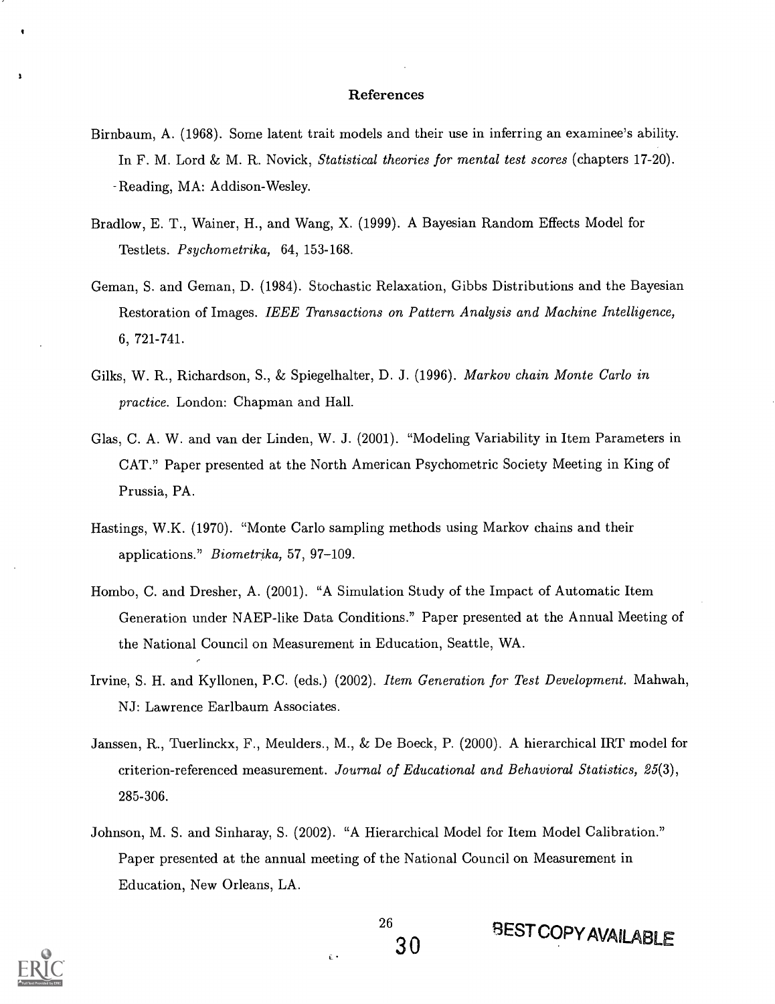#### References

- Birnbaum, A. (1968). Some latent trait models and their use in inferring an examinee's ability. In F. M. Lord & M. R. Novick, *Statistical theories for mental test scores* (chapters  $17-20$ ). Reading, MA: Addison-Wesley.
- Bradlow, E. T., Wainer, H., and Wang, X. (1999). A Bayesian Random Effects Model for Testlets. *Psychometrika*, 64, 153-168.
- Geman, S. and Geman, D. (1984). Stochastic Relaxation, Gibbs Distributions and the Bayesian Restoration of Images. IEEE Transactions on Pattern Analysis and Machine Intelligence, 6, 721-741.
- Gilks, W. R., Richardson, S., & Spiegelhalter, D. J. (1996). *Markov chain Monte Carlo in* practice. London: Chapman and Hall.
- Glas, C. A. W. and van der Linden, W. J. (2001). "Modeling Variability in Item Parameters in CAT." Paper presented at the North American Psychometric Society Meeting in King of Prussia, PA.
- Hastings, W.K. (1970). "Monte Carlo sampling methods using Markov chains and their applications." Biometrika, 57, 97-109.
- Hombo, C. and Dresher, A. (2001). "A Simulation Study of the Impact of Automatic Item Generation under NAEP-like Data Conditions." Paper presented at the Annual Meeting of the National Council on Measurement in Education, Seattle, WA.
- Irvine, S. H. and Kyllonen, P.C. (eds.) (2002). Item Generation for Test Development. Mahwah, NJ: Lawrence Earlbaum Associates.
- Janssen, R., Tuerlinckx, F., Meulders., M., & De Boeck, P. (2000). A hierarchical IRT model for criterion-referenced measurement. Journal of Educational and Behavioral Statistics, 25(3), 285-306.
- Johnson, M. S. and Sinharay, S. (2002). "A Hierarchical Model for Item Model Calibration." Paper presented at the annual meeting of the National Council on Measurement in Education, New Orleans, LA.

ĉ٠



**BEST COPY AVAILABLE**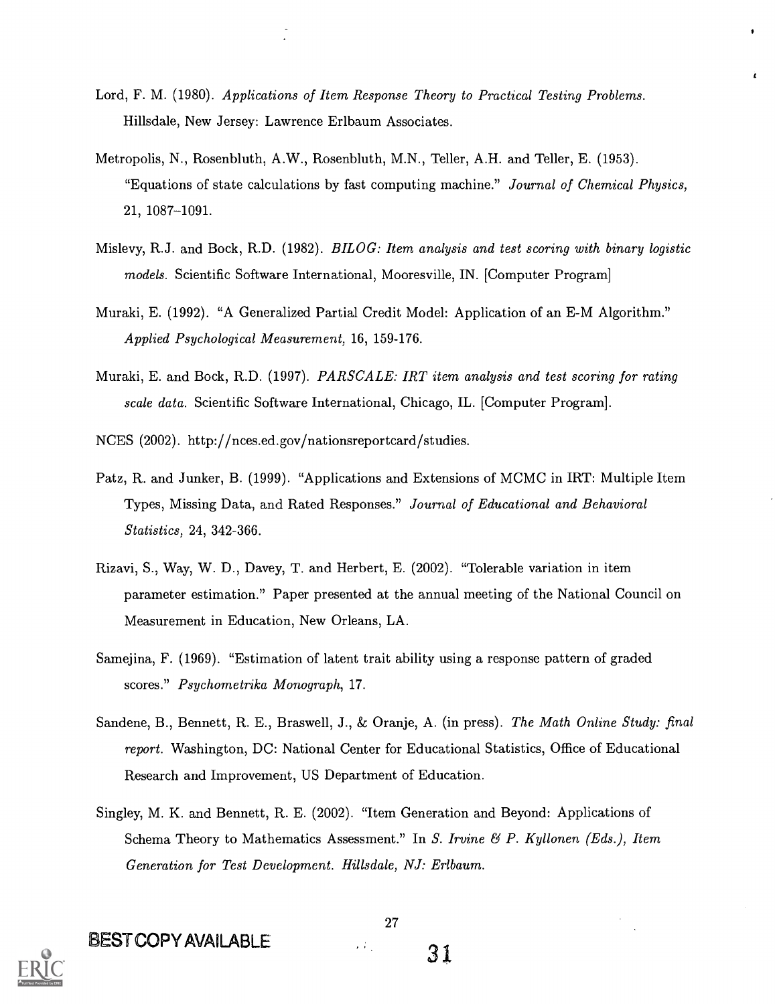- Lord, F. M. (1980). Applications of Item Response Theory to Practical Testing Problems. Hillsdale, New Jersey: Lawrence Erlbaum Associates.
- Metropolis, N., Rosenbluth, A.W., Rosenbluth, M.N., Teller, A.H. and Teller, E. (1953). "Equations of state calculations by fast computing machine." Journal of Chemical Physics, 21, 1087-1091.
- Mislevy, R.J. and Bock, R.D.  $(1982)$ . BILOG: Item analysis and test scoring with binary logistic models. Scientific Software International, Mooresville, IN. [Computer Program]
- Muraki, E. (1992). "A Generalized Partial Credit Model: Application of an E-M Algorithm." Applied Psychological Measurement, 16, 159-176.
- Muraki, E. and Bock, R.D. (1997). PARSCALE: IRT item analysis and test scoring for rating scale data. Scientific Software International, Chicago, IL. [Computer Program].

NCES (2002). http://nces.ed.gov/nationsreportcard/studies.

- Patz, R. and Junker, B. (1999). "Applications and Extensions of MCMC in IRT: Multiple Item Types, Missing Data, and Rated Responses." Journal of Educational and Behavioral Statistics, 24, 342-366.
- Rizavi, S., Way, W. D., Davey, T. and Herbert, E. (2002). "Tolerable variation in item parameter estimation." Paper presented at the annual meeting of the National Council on Measurement in Education, New Orleans, LA.
- Samejina, F. (1969). "Estimation of latent trait ability using a response pattern of graded scores." Psychometrika Monograph, 17.
- Sandene, B., Bennett, R. E., Braswell, J., & Oranje, A. (in press). The Math Online Study: final report. Washington, DC: National Center for Educational Statistics, Office of Educational Research and Improvement, US Department of Education.
- Sing ley, M. K. and Bennett, R. E. (2002). "Item Generation and Beyond: Applications of Schema Theory to Mathematics Assessment." In S. Irvine  $\mathcal{B}$  P. Kyllonen (Eds.), Item Generation for Test Development. Hillsdale, NJ: Erlbaum.





BEST COPY AVAILABLE 31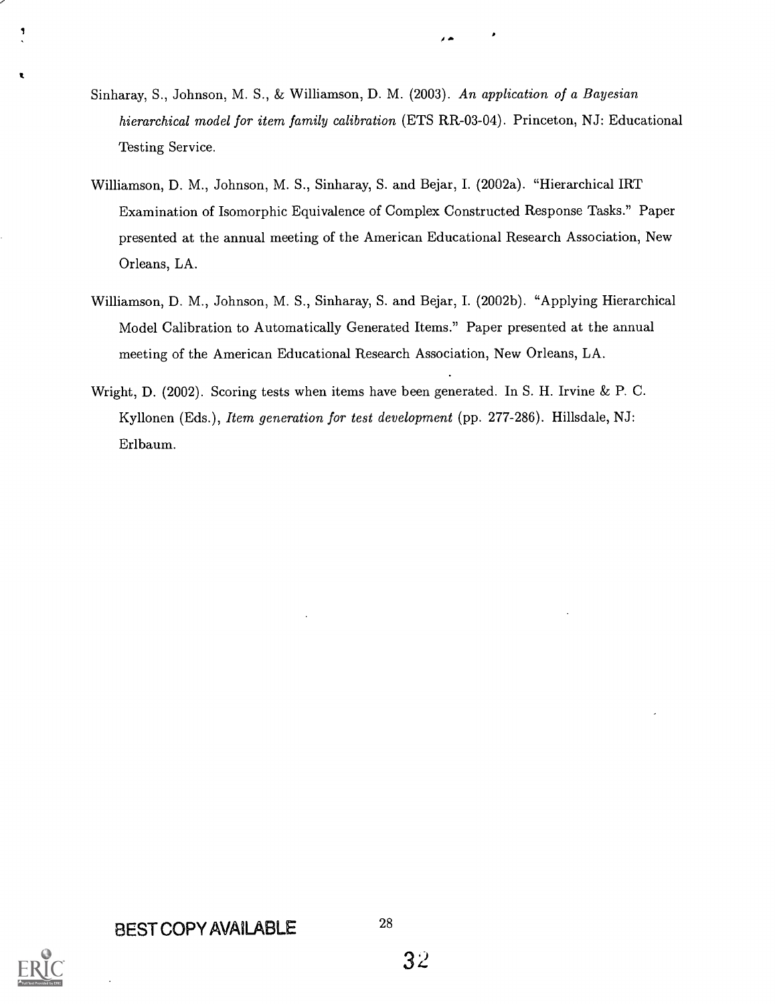- Sinharay, S., Johnson, M. S., & Williamson, D. M. (2003). An application of a Bayesian hierarchical model for item family calibration (ETS RR-03-04). Princeton, NJ: Educational Testing Service.
- Williamson, D. M., Johnson, M. S., Sinharay, S. and Bejar, I. (2002a). "Hierarchical IRT Examination of Isomorphic Equivalence of Complex Constructed Response Tasks." Paper presented at the annual meeting of the American Educational Research Association, New Orleans, LA.
- Williamson, D. M., Johnson, M. S., Sinharay, S. and Bejar, I. (2002b). "Applying Hierarchical Model Calibration to Automatically Generated Items." Paper presented at the annual meeting of the American Educational Research Association, New Orleans, LA.
- Wright, D. (2002). Scoring tests when items have been generated. In S. H. Irvine  $\&$  P. C. Kyllonen (Eds.), Item generation for test development (pp. 277-286). Hillsdale, NJ: Erlbaum.

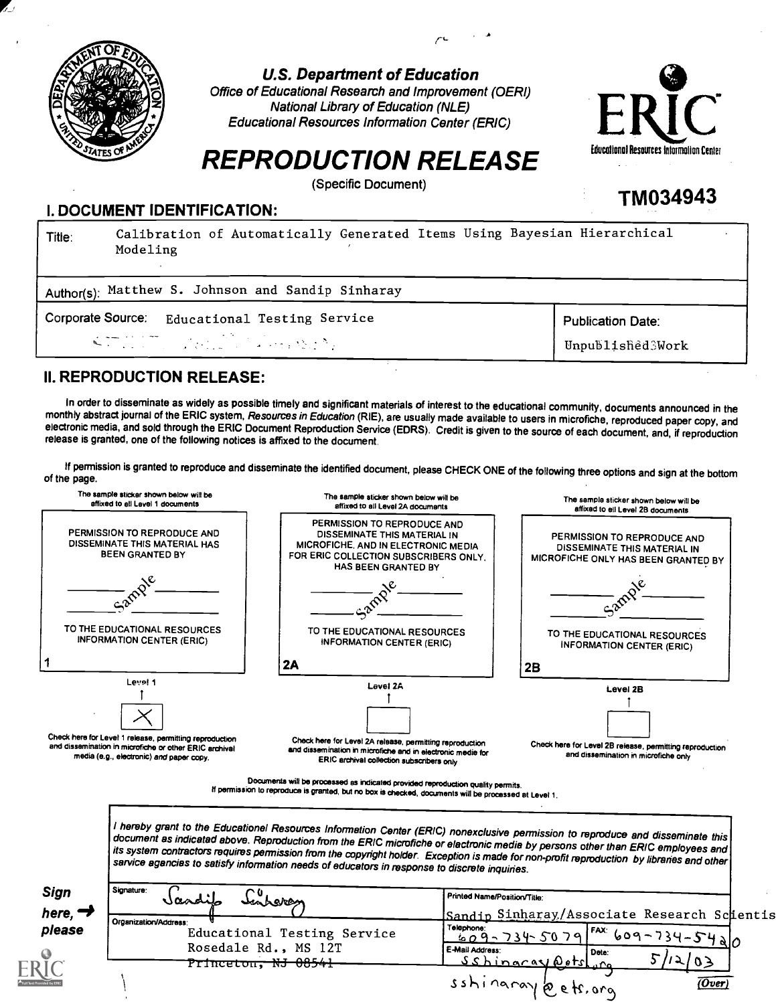

U.S. Department of Education

 $\mathcal{L}^{L}$  and  $\mathcal{L}^{L}$ 

Office of Educational Research and Improvement (OEM) National Library of Education (NLE) Educational Resources Information Center (ERIC)



TM034943

# REPRODUCTION RELEASE

(Specific Document)

### I. DOCUMENT IDENTIFICATION:

| Title: | Calibration of Automatically Generated Items Using Bayesian Hierarchical<br>Modeling |                          |
|--------|--------------------------------------------------------------------------------------|--------------------------|
|        | Author(s): Matthew S. Johnson and Sandip Sinharay                                    |                          |
|        | Corporate Source: Educational Testing Service                                        | <b>Publication Date:</b> |
|        | $\mathcal{L} = \{ \mathcal{L} \in \mathcal{L} \mid \mathcal{L} \in \mathcal{L} \}$   | Unpublished3Work         |
|        |                                                                                      |                          |

### II. REPRODUCTION RELEASE:

In order to disseminate as widely as possible timely and significant materials of interest to the educational community, documents announced in the<br>monthly abstract journal of the ERIC system, Resources in Education (RIE), electronic media, and sold through the ERIC Document Reproduction Service (EDRS). Credit is givento the source of each document, and, if reproduction release is granted, one of the following notices is affixed to the document.

If permission is granted to reproduce and disseminate the identified document, please CHECK ONE of the following three options and sign at the bottom of the page.

| The sample sticker shown below will be<br>affixed to all Lavel 1 documents                                                                                    | The sample sticker shown below will be<br>affixed to all Level 2A documents                                                                                                                                                                                                                                                                                                                                                                                                                                       | The sample sticker shown below will be<br>affixed to ell Level 2B documents                        |
|---------------------------------------------------------------------------------------------------------------------------------------------------------------|-------------------------------------------------------------------------------------------------------------------------------------------------------------------------------------------------------------------------------------------------------------------------------------------------------------------------------------------------------------------------------------------------------------------------------------------------------------------------------------------------------------------|----------------------------------------------------------------------------------------------------|
| PERMISSION TO REPRODUCE AND<br>DISSEMINATE THIS MATERIAL HAS<br><b>BEEN GRANTED BY</b>                                                                        | PERMISSION TO REPRODUCE AND<br>DISSEMINATE THIS MATERIAL IN<br>MICROFICHE, AND IN ELECTRONIC MEDIA<br>FOR ERIC COLLECTION SUBSCRIBERS ONLY.<br>HAS BEEN GRANTED BY                                                                                                                                                                                                                                                                                                                                                | PERMISSION TO REPRODUCE AND<br>DISSEMINATE THIS MATERIAL IN<br>MICROFICHE ONLY HAS BEEN GRANTED BY |
|                                                                                                                                                               |                                                                                                                                                                                                                                                                                                                                                                                                                                                                                                                   |                                                                                                    |
| TO THE EDUCATIONAL RESOURCES<br><b>INFORMATION CENTER (ERIC)</b>                                                                                              | TO THE EDUCATIONAL RESOURCES<br>INFORMATION CENTER (ERIC)<br><b>2A</b>                                                                                                                                                                                                                                                                                                                                                                                                                                            | TO THE EDUCATIONAL RESOURCES<br><b>INFORMATION CENTER (ERIC)</b><br>2B                             |
| Level 1                                                                                                                                                       | Lavel 2A                                                                                                                                                                                                                                                                                                                                                                                                                                                                                                          | Level 2B                                                                                           |
| Check here for Level 1 release, permitting reproduction<br>and dissemination in microfiche or other ERIC archival<br>media (e.g., electronic) and paper copy. | Check here for Level 2A release, permitting reproduction<br>and dissemination in microfiche and in electronic medie for<br>ERIC archival collection subscribers only                                                                                                                                                                                                                                                                                                                                              | Check here for Level 2B release, permitting reproduction<br>and dissemination in microfiche only   |
|                                                                                                                                                               | Documents will be processed as indicated provided reproduction quality permits.<br>If permission to reproduce is granted, but no box is checked, documents will be processed at Level 1.                                                                                                                                                                                                                                                                                                                          |                                                                                                    |
|                                                                                                                                                               | I hereby grant to the Educationel Resources Information Center (ERIC) nonexclusive permission to reproduce and disseminate this<br>document as indicatad above. Reproduction from the ERIC microfiche or elactronic media by persons other than ERIC employees and<br>its system contractors requires permission from the copyright holder. Exception is made for non-profit reproduction by libraries and other<br>sarvice agancias to satisfy information needs of educators in response to discrete inquiries. |                                                                                                    |
| Signature:<br>Sign<br>here, $\rightarrow$                                                                                                                     | Printed Name/Position/Title:<br>Inbere                                                                                                                                                                                                                                                                                                                                                                                                                                                                            | Sandip Sinharay/Associate Research Scientis                                                        |
| Organization/Address:<br>please                                                                                                                               | <b>Telephone</b><br>Educational Testing Service<br>Rosedale Rd., MS 12T<br>E-Mail Address<br>Princeton, NJ 08541                                                                                                                                                                                                                                                                                                                                                                                                  | $54 - 34 - 5400$<br>609-734-5079<br>Dete:<br>$\circ$<br><u>Sshinaray Detsl</u>                     |
|                                                                                                                                                               |                                                                                                                                                                                                                                                                                                                                                                                                                                                                                                                   | sshinaray bets, org<br>(Over)                                                                      |